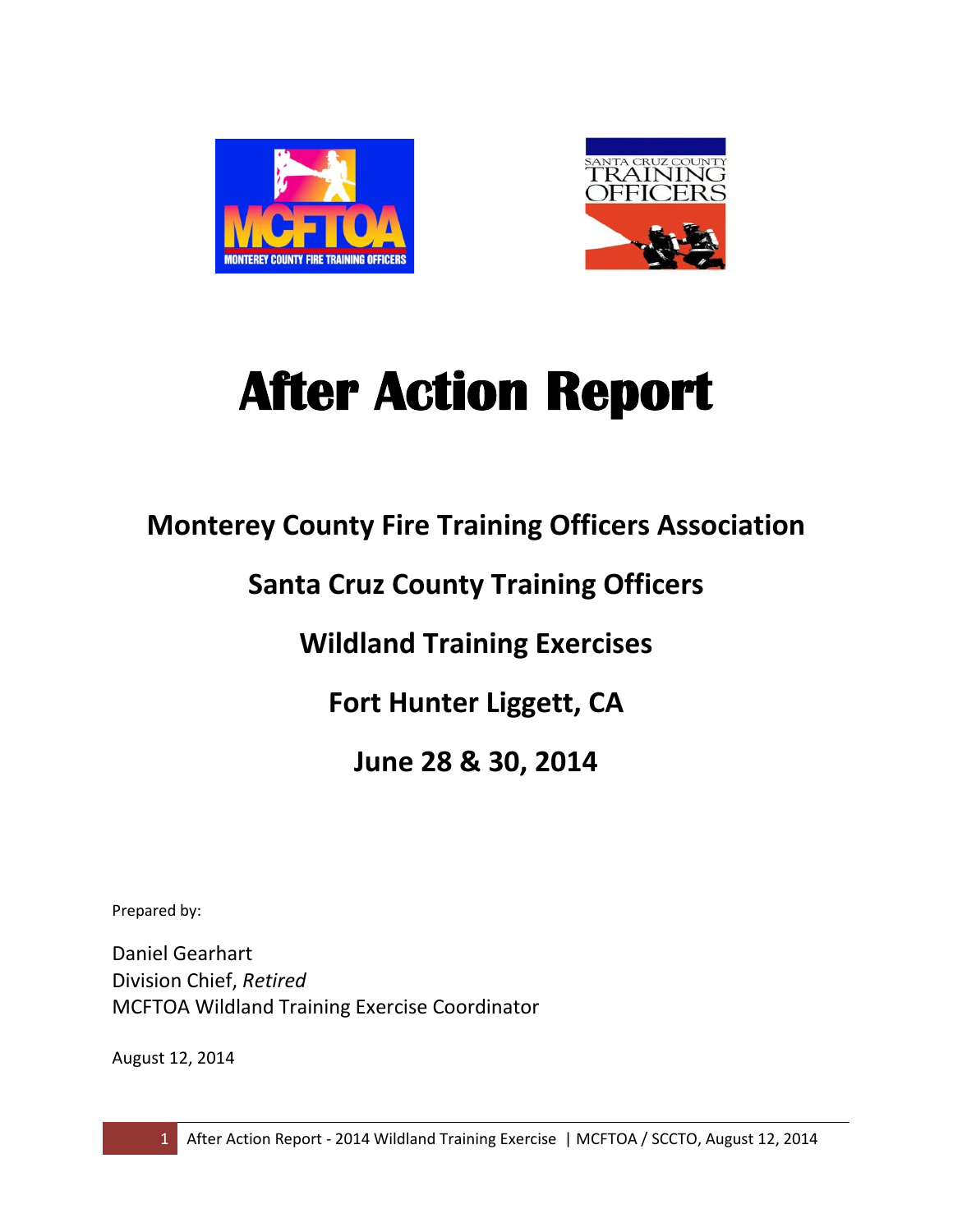



# **After Action Report**

# **Monterey County Fire Training Officers Association**

# **Santa Cruz County Training Officers**

# **Wildland Training Exercises**

# **Fort Hunter Liggett, CA**

# **June 28 & 30, 2014**

Prepared by:

Daniel Gearhart Division Chief, *Retired* MCFTOA Wildland Training Exercise Coordinator

August 12, 2014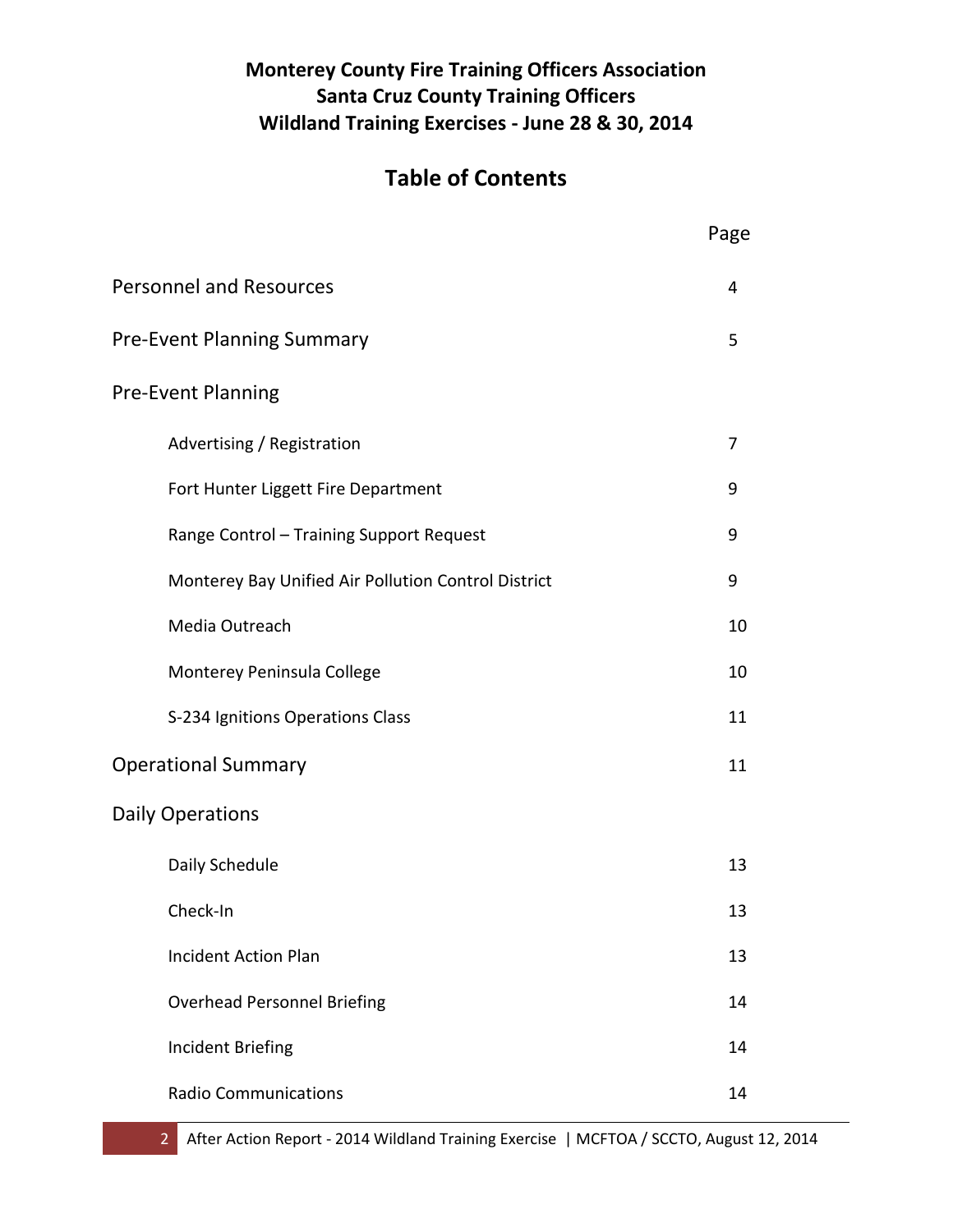## **Monterey County Fire Training Officers Association Santa Cruz County Training Officers Wildland Training Exercises - June 28 & 30, 2014**

# **Table of Contents**

|                                                     | Page |
|-----------------------------------------------------|------|
| <b>Personnel and Resources</b>                      | 4    |
| <b>Pre-Event Planning Summary</b>                   | 5    |
| <b>Pre-Event Planning</b>                           |      |
| Advertising / Registration                          | 7    |
| Fort Hunter Liggett Fire Department                 | 9    |
| Range Control - Training Support Request            | 9    |
| Monterey Bay Unified Air Pollution Control District | 9    |
| Media Outreach                                      | 10   |
| Monterey Peninsula College                          | 10   |
| S-234 Ignitions Operations Class                    | 11   |
| <b>Operational Summary</b>                          | 11   |
| <b>Daily Operations</b>                             |      |
| Daily Schedule                                      | 13   |
| Check-In                                            | 13   |
| <b>Incident Action Plan</b>                         | 13   |
| <b>Overhead Personnel Briefing</b>                  | 14   |
| Incident Briefing                                   | 14   |
| <b>Radio Communications</b>                         | 14   |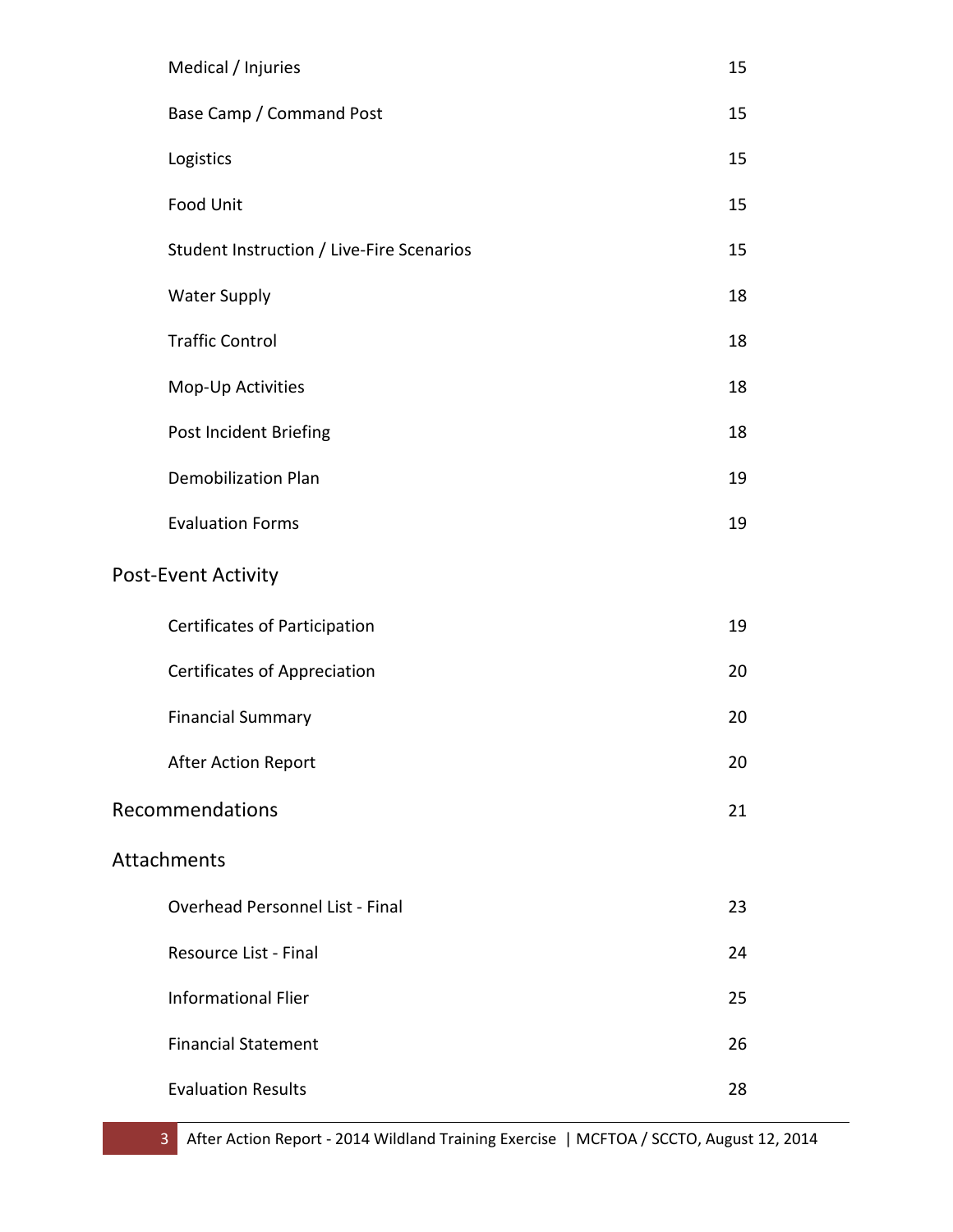| Medical / Injuries                        | 15 |
|-------------------------------------------|----|
| Base Camp / Command Post                  | 15 |
| Logistics                                 | 15 |
| <b>Food Unit</b>                          | 15 |
| Student Instruction / Live-Fire Scenarios | 15 |
| <b>Water Supply</b>                       | 18 |
| <b>Traffic Control</b>                    | 18 |
| Mop-Up Activities                         | 18 |
| Post Incident Briefing                    | 18 |
| <b>Demobilization Plan</b>                | 19 |
| <b>Evaluation Forms</b>                   | 19 |
| <b>Post-Event Activity</b>                |    |
| Certificates of Participation             | 19 |
| Certificates of Appreciation              | 20 |
| <b>Financial Summary</b>                  | 20 |
| <b>After Action Report</b>                | 20 |
| Recommendations                           | 21 |
| Attachments                               |    |
| <b>Overhead Personnel List - Final</b>    | 23 |
| Resource List - Final                     | 24 |
| <b>Informational Flier</b>                | 25 |
| <b>Financial Statement</b>                | 26 |
| <b>Evaluation Results</b>                 | 28 |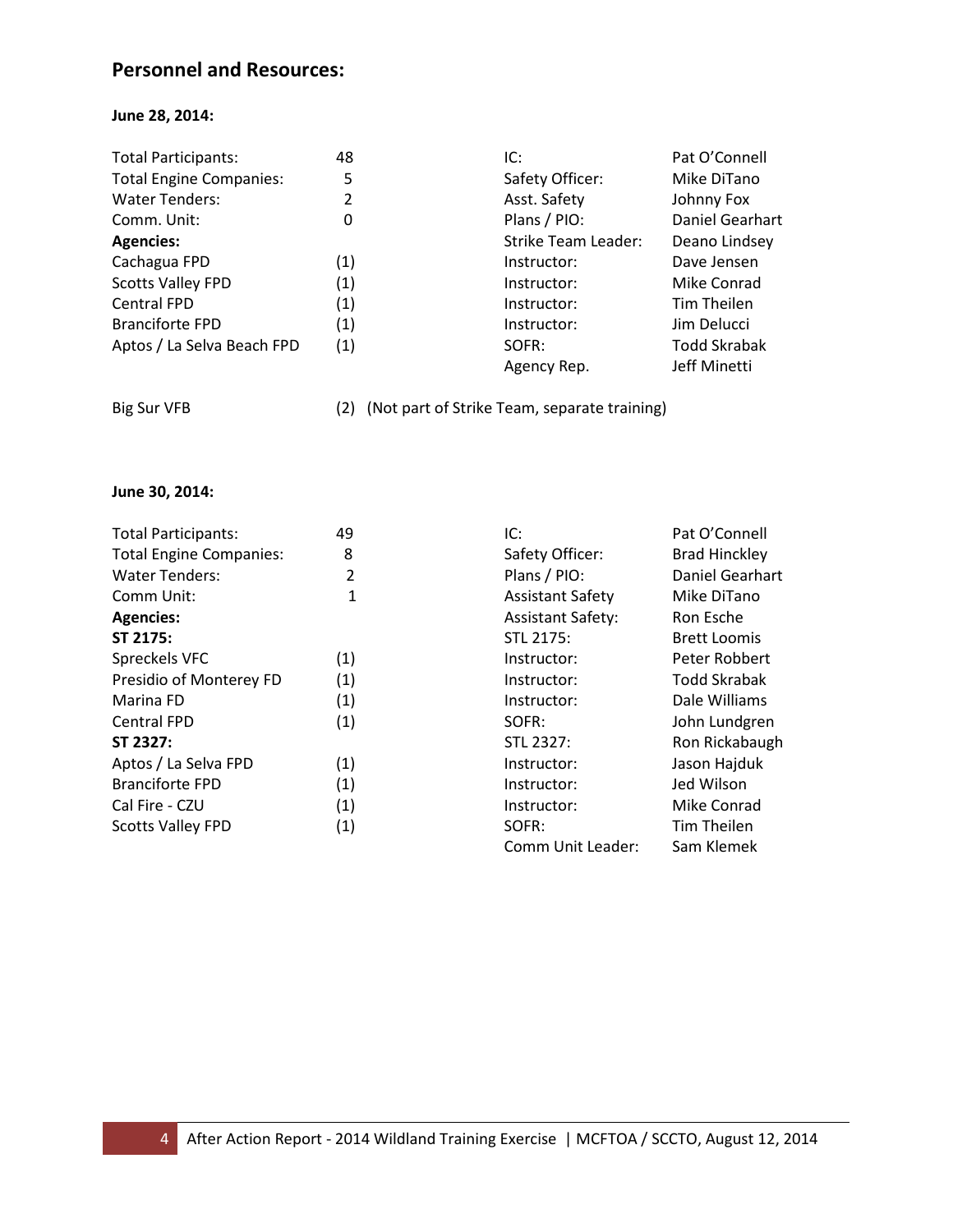## **Personnel and Resources:**

#### **June 28, 2014:**

| 48  | IC:                 | Pat O'Connell       |
|-----|---------------------|---------------------|
| 5   | Safety Officer:     | Mike DiTano         |
| 2   | Asst. Safety        | Johnny Fox          |
| 0   | Plans / PIO:        | Daniel Gearhart     |
|     | Strike Team Leader: | Deano Lindsey       |
| (1) | Instructor:         | Dave Jensen         |
| (1) | Instructor:         | Mike Conrad         |
| (1) | Instructor:         | Tim Theilen         |
| (1) | Instructor:         | Jim Delucci         |
| (1) | SOFR:               | <b>Todd Skrabak</b> |
|     | Agency Rep.         | Jeff Minetti        |
|     |                     |                     |

Big Sur VFB (2) (Not part of Strike Team, separate training)

#### **June 30, 2014:**

| <b>Total Participants:</b>     | 49  | IC:                      | Pat O'Connell        |
|--------------------------------|-----|--------------------------|----------------------|
| <b>Total Engine Companies:</b> | 8   | Safety Officer:          | <b>Brad Hinckley</b> |
| <b>Water Tenders:</b>          | 2   | Plans / PIO:             | Daniel Gearhart      |
| Comm Unit:                     | 1   | <b>Assistant Safety</b>  | Mike DiTano          |
| <b>Agencies:</b>               |     | <b>Assistant Safety:</b> | Ron Esche            |
| ST 2175:                       |     | STL 2175:                | <b>Brett Loomis</b>  |
| Spreckels VFC                  | (1) | Instructor:              | Peter Robbert        |
| Presidio of Monterey FD        | (1) | Instructor:              | <b>Todd Skrabak</b>  |
| Marina FD                      | (1) | Instructor:              | Dale Williams        |
| <b>Central FPD</b>             | (1) | SOFR:                    | John Lundgren        |
| ST 2327:                       |     | STL 2327:                | Ron Rickabaugh       |
| Aptos / La Selva FPD           | (1) | Instructor:              | Jason Hajduk         |
| <b>Branciforte FPD</b>         | (1) | Instructor:              | Jed Wilson           |
| Cal Fire - CZU                 | (1) | Instructor:              | Mike Conrad          |
| <b>Scotts Valley FPD</b>       | (1) | SOFR:                    | Tim Theilen          |
|                                |     | Comm Unit Leader:        | Sam Klemek           |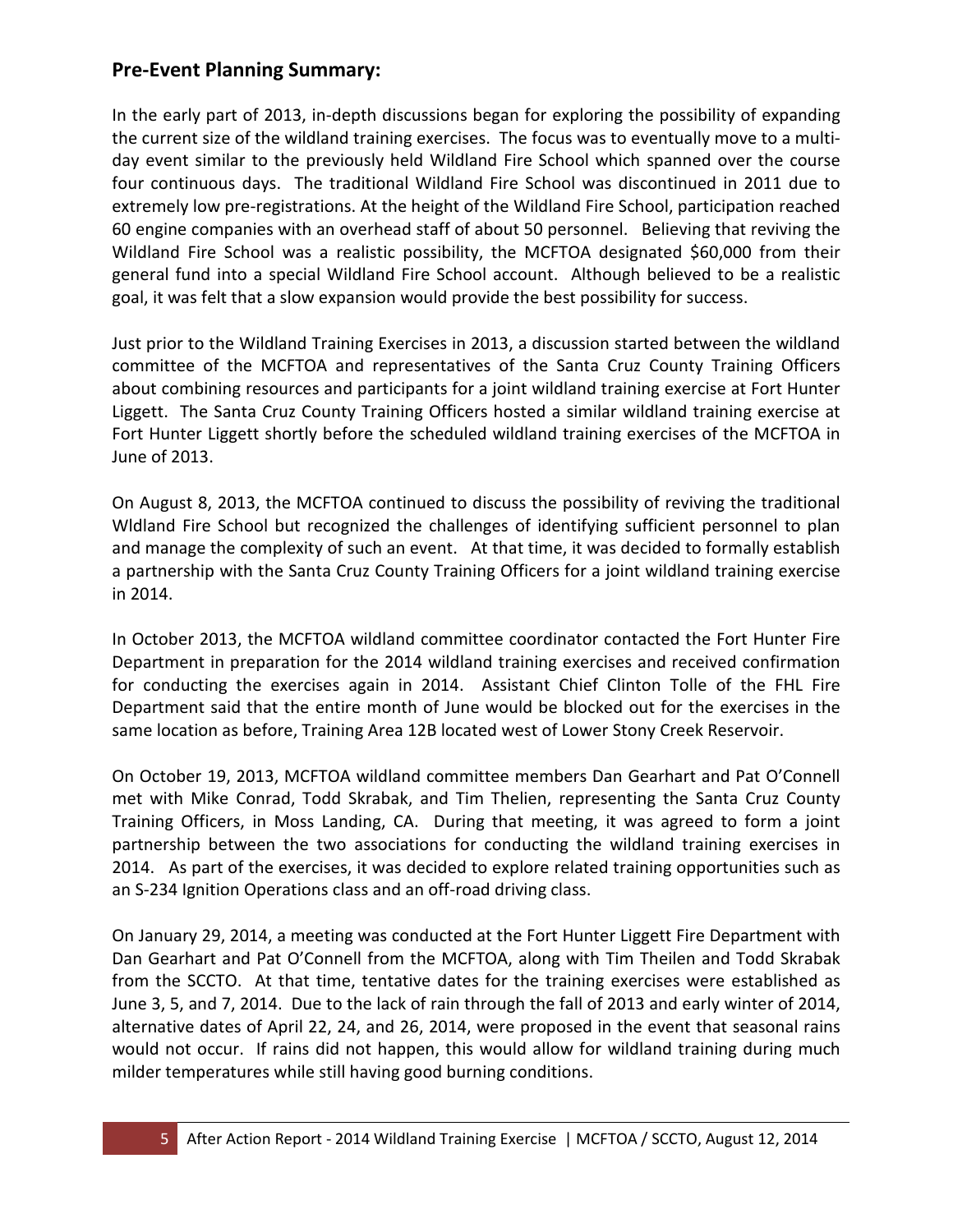## **Pre-Event Planning Summary:**

In the early part of 2013, in-depth discussions began for exploring the possibility of expanding the current size of the wildland training exercises. The focus was to eventually move to a multiday event similar to the previously held Wildland Fire School which spanned over the course four continuous days. The traditional Wildland Fire School was discontinued in 2011 due to extremely low pre-registrations. At the height of the Wildland Fire School, participation reached 60 engine companies with an overhead staff of about 50 personnel. Believing that reviving the Wildland Fire School was a realistic possibility, the MCFTOA designated \$60,000 from their general fund into a special Wildland Fire School account. Although believed to be a realistic goal, it was felt that a slow expansion would provide the best possibility for success.

Just prior to the Wildland Training Exercises in 2013, a discussion started between the wildland committee of the MCFTOA and representatives of the Santa Cruz County Training Officers about combining resources and participants for a joint wildland training exercise at Fort Hunter Liggett. The Santa Cruz County Training Officers hosted a similar wildland training exercise at Fort Hunter Liggett shortly before the scheduled wildland training exercises of the MCFTOA in June of 2013.

On August 8, 2013, the MCFTOA continued to discuss the possibility of reviving the traditional Wldland Fire School but recognized the challenges of identifying sufficient personnel to plan and manage the complexity of such an event. At that time, it was decided to formally establish a partnership with the Santa Cruz County Training Officers for a joint wildland training exercise in 2014.

In October 2013, the MCFTOA wildland committee coordinator contacted the Fort Hunter Fire Department in preparation for the 2014 wildland training exercises and received confirmation for conducting the exercises again in 2014. Assistant Chief Clinton Tolle of the FHL Fire Department said that the entire month of June would be blocked out for the exercises in the same location as before, Training Area 12B located west of Lower Stony Creek Reservoir.

On October 19, 2013, MCFTOA wildland committee members Dan Gearhart and Pat O'Connell met with Mike Conrad, Todd Skrabak, and Tim Thelien, representing the Santa Cruz County Training Officers, in Moss Landing, CA. During that meeting, it was agreed to form a joint partnership between the two associations for conducting the wildland training exercises in 2014. As part of the exercises, it was decided to explore related training opportunities such as an S-234 Ignition Operations class and an off-road driving class.

On January 29, 2014, a meeting was conducted at the Fort Hunter Liggett Fire Department with Dan Gearhart and Pat O'Connell from the MCFTOA, along with Tim Theilen and Todd Skrabak from the SCCTO. At that time, tentative dates for the training exercises were established as June 3, 5, and 7, 2014. Due to the lack of rain through the fall of 2013 and early winter of 2014, alternative dates of April 22, 24, and 26, 2014, were proposed in the event that seasonal rains would not occur. If rains did not happen, this would allow for wildland training during much milder temperatures while still having good burning conditions.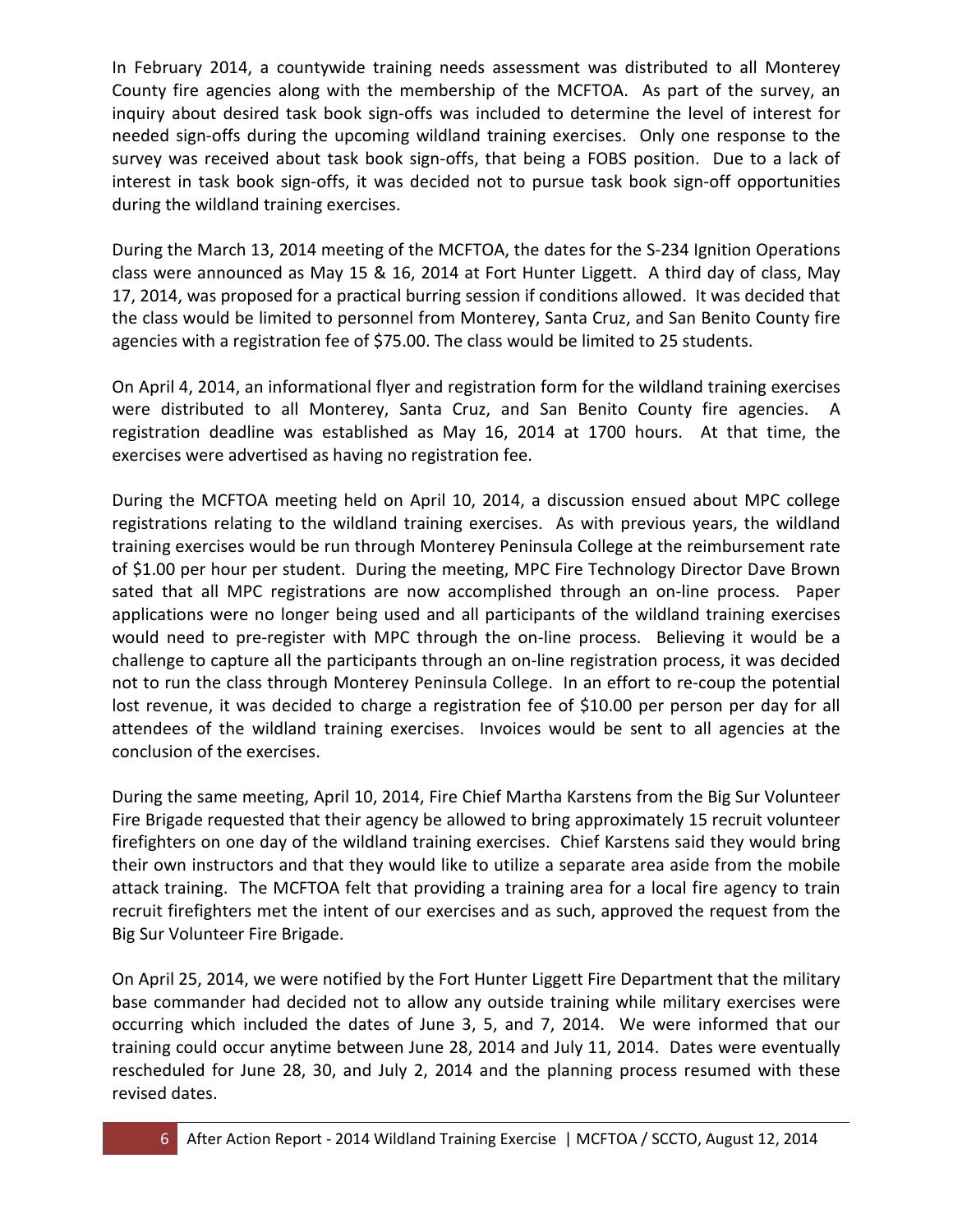In February 2014, a countywide training needs assessment was distributed to all Monterey County fire agencies along with the membership of the MCFTOA. As part of the survey, an inquiry about desired task book sign-offs was included to determine the level of interest for needed sign-offs during the upcoming wildland training exercises. Only one response to the survey was received about task book sign-offs, that being a FOBS position. Due to a lack of interest in task book sign-offs, it was decided not to pursue task book sign-off opportunities during the wildland training exercises.

During the March 13, 2014 meeting of the MCFTOA, the dates for the S-234 Ignition Operations class were announced as May 15 & 16, 2014 at Fort Hunter Liggett. A third day of class, May 17, 2014, was proposed for a practical burring session if conditions allowed. It was decided that the class would be limited to personnel from Monterey, Santa Cruz, and San Benito County fire agencies with a registration fee of \$75.00. The class would be limited to 25 students.

On April 4, 2014, an informational flyer and registration form for the wildland training exercises were distributed to all Monterey, Santa Cruz, and San Benito County fire agencies. A registration deadline was established as May 16, 2014 at 1700 hours. At that time, the exercises were advertised as having no registration fee.

During the MCFTOA meeting held on April 10, 2014, a discussion ensued about MPC college registrations relating to the wildland training exercises. As with previous years, the wildland training exercises would be run through Monterey Peninsula College at the reimbursement rate of \$1.00 per hour per student. During the meeting, MPC Fire Technology Director Dave Brown sated that all MPC registrations are now accomplished through an on-line process. Paper applications were no longer being used and all participants of the wildland training exercises would need to pre-register with MPC through the on-line process. Believing it would be a challenge to capture all the participants through an on-line registration process, it was decided not to run the class through Monterey Peninsula College. In an effort to re-coup the potential lost revenue, it was decided to charge a registration fee of \$10.00 per person per day for all attendees of the wildland training exercises. Invoices would be sent to all agencies at the conclusion of the exercises.

During the same meeting, April 10, 2014, Fire Chief Martha Karstens from the Big Sur Volunteer Fire Brigade requested that their agency be allowed to bring approximately 15 recruit volunteer firefighters on one day of the wildland training exercises. Chief Karstens said they would bring their own instructors and that they would like to utilize a separate area aside from the mobile attack training. The MCFTOA felt that providing a training area for a local fire agency to train recruit firefighters met the intent of our exercises and as such, approved the request from the Big Sur Volunteer Fire Brigade.

On April 25, 2014, we were notified by the Fort Hunter Liggett Fire Department that the military base commander had decided not to allow any outside training while military exercises were occurring which included the dates of June 3, 5, and 7, 2014. We were informed that our training could occur anytime between June 28, 2014 and July 11, 2014. Dates were eventually rescheduled for June 28, 30, and July 2, 2014 and the planning process resumed with these revised dates.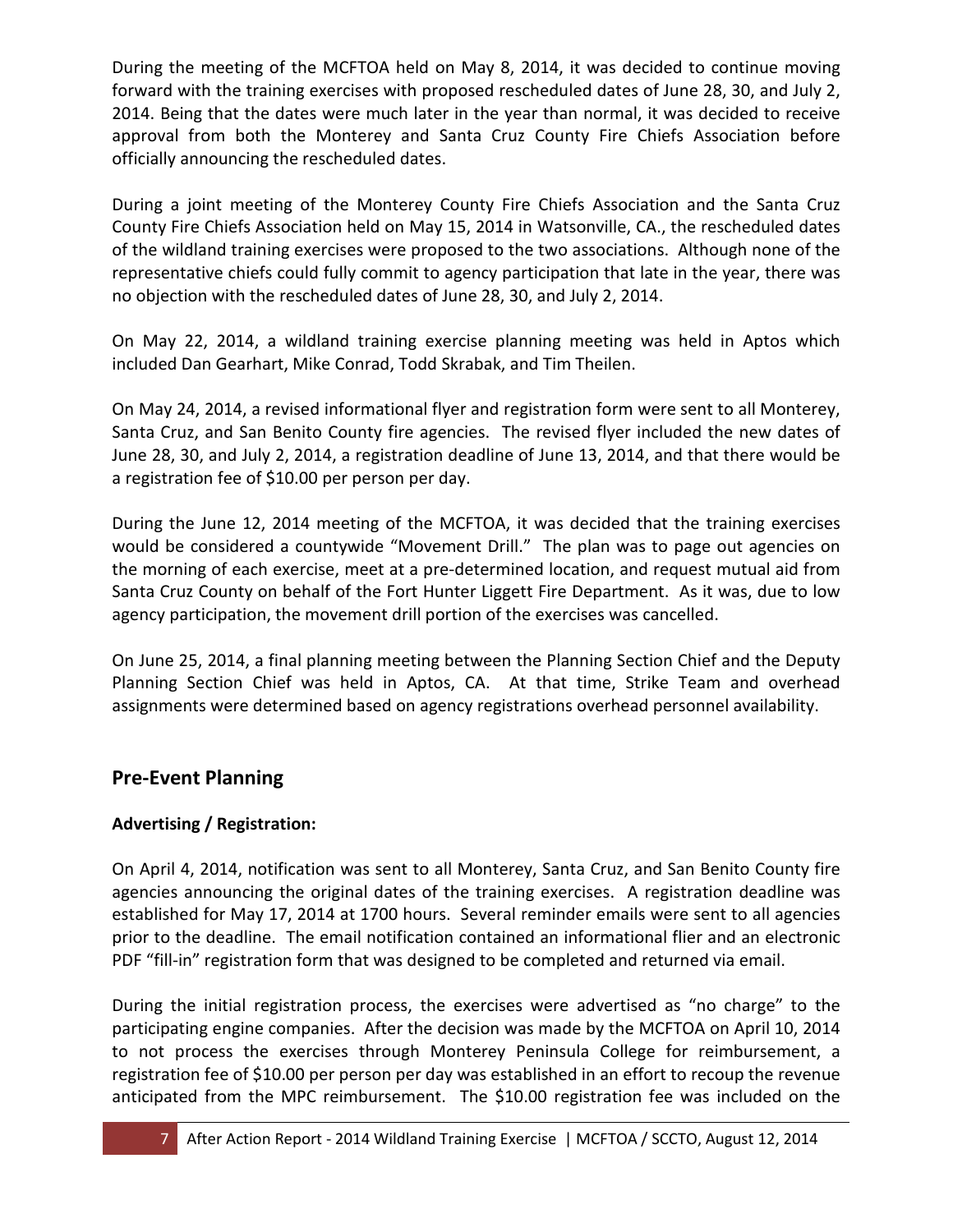During the meeting of the MCFTOA held on May 8, 2014, it was decided to continue moving forward with the training exercises with proposed rescheduled dates of June 28, 30, and July 2, 2014. Being that the dates were much later in the year than normal, it was decided to receive approval from both the Monterey and Santa Cruz County Fire Chiefs Association before officially announcing the rescheduled dates.

During a joint meeting of the Monterey County Fire Chiefs Association and the Santa Cruz County Fire Chiefs Association held on May 15, 2014 in Watsonville, CA., the rescheduled dates of the wildland training exercises were proposed to the two associations. Although none of the representative chiefs could fully commit to agency participation that late in the year, there was no objection with the rescheduled dates of June 28, 30, and July 2, 2014.

On May 22, 2014, a wildland training exercise planning meeting was held in Aptos which included Dan Gearhart, Mike Conrad, Todd Skrabak, and Tim Theilen.

On May 24, 2014, a revised informational flyer and registration form were sent to all Monterey, Santa Cruz, and San Benito County fire agencies. The revised flyer included the new dates of June 28, 30, and July 2, 2014, a registration deadline of June 13, 2014, and that there would be a registration fee of \$10.00 per person per day.

During the June 12, 2014 meeting of the MCFTOA, it was decided that the training exercises would be considered a countywide "Movement Drill." The plan was to page out agencies on the morning of each exercise, meet at a pre-determined location, and request mutual aid from Santa Cruz County on behalf of the Fort Hunter Liggett Fire Department. As it was, due to low agency participation, the movement drill portion of the exercises was cancelled.

On June 25, 2014, a final planning meeting between the Planning Section Chief and the Deputy Planning Section Chief was held in Aptos, CA. At that time, Strike Team and overhead assignments were determined based on agency registrations overhead personnel availability.

## **Pre-Event Planning**

#### **Advertising / Registration:**

On April 4, 2014, notification was sent to all Monterey, Santa Cruz, and San Benito County fire agencies announcing the original dates of the training exercises. A registration deadline was established for May 17, 2014 at 1700 hours. Several reminder emails were sent to all agencies prior to the deadline. The email notification contained an informational flier and an electronic PDF "fill-in" registration form that was designed to be completed and returned via email.

During the initial registration process, the exercises were advertised as "no charge" to the participating engine companies. After the decision was made by the MCFTOA on April 10, 2014 to not process the exercises through Monterey Peninsula College for reimbursement, a registration fee of \$10.00 per person per day was established in an effort to recoup the revenue anticipated from the MPC reimbursement. The \$10.00 registration fee was included on the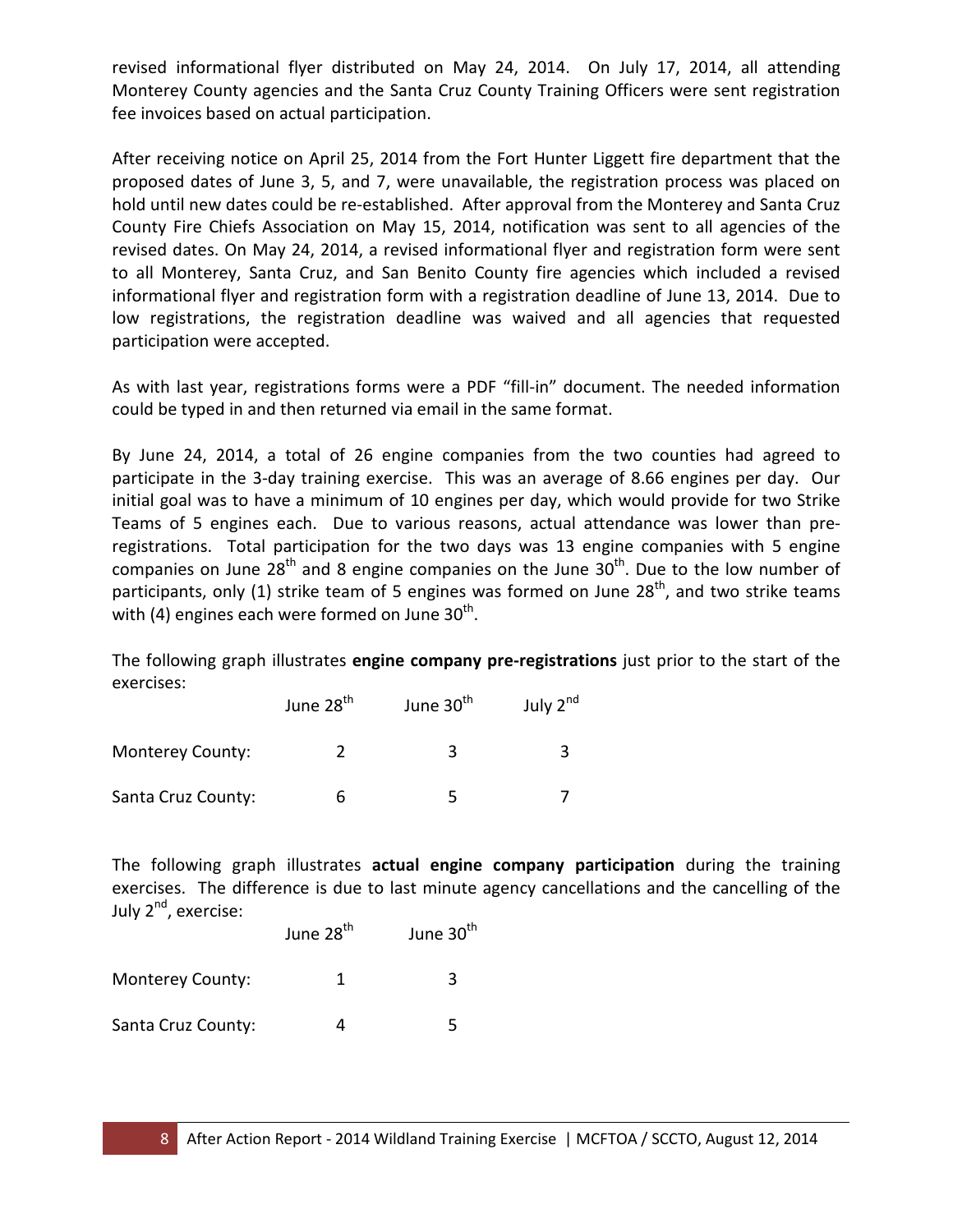revised informational flyer distributed on May 24, 2014. On July 17, 2014, all attending Monterey County agencies and the Santa Cruz County Training Officers were sent registration fee invoices based on actual participation.

After receiving notice on April 25, 2014 from the Fort Hunter Liggett fire department that the proposed dates of June 3, 5, and 7, were unavailable, the registration process was placed on hold until new dates could be re-established. After approval from the Monterey and Santa Cruz County Fire Chiefs Association on May 15, 2014, notification was sent to all agencies of the revised dates. On May 24, 2014, a revised informational flyer and registration form were sent to all Monterey, Santa Cruz, and San Benito County fire agencies which included a revised informational flyer and registration form with a registration deadline of June 13, 2014. Due to low registrations, the registration deadline was waived and all agencies that requested participation were accepted.

As with last year, registrations forms were a PDF "fill-in" document. The needed information could be typed in and then returned via email in the same format.

By June 24, 2014, a total of 26 engine companies from the two counties had agreed to participate in the 3-day training exercise. This was an average of 8.66 engines per day. Our initial goal was to have a minimum of 10 engines per day, which would provide for two Strike Teams of 5 engines each. Due to various reasons, actual attendance was lower than preregistrations. Total participation for the two days was 13 engine companies with 5 engine companies on June  $28<sup>th</sup>$  and 8 engine companies on the June  $30<sup>th</sup>$ . Due to the low number of participants, only (1) strike team of 5 engines was formed on June  $28<sup>th</sup>$ , and two strike teams with (4) engines each were formed on June  $30<sup>th</sup>$ .

The following graph illustrates **engine company pre-registrations** just prior to the start of the exercises:

|                         | June 28 <sup>th</sup> | June 30 <sup>th</sup> | July $2^{nd}$ |
|-------------------------|-----------------------|-----------------------|---------------|
| <b>Monterey County:</b> |                       |                       |               |
| Santa Cruz County:      |                       |                       |               |

The following graph illustrates **actual engine company participation** during the training exercises. The difference is due to last minute agency cancellations and the cancelling of the July 2<sup>nd</sup>, exercise:

June 
$$
28^{th}
$$
 June  $30^{th}$ 

Monterey County: 1 3

Santa Cruz County:  $\begin{array}{ccc} 4 & 5 \end{array}$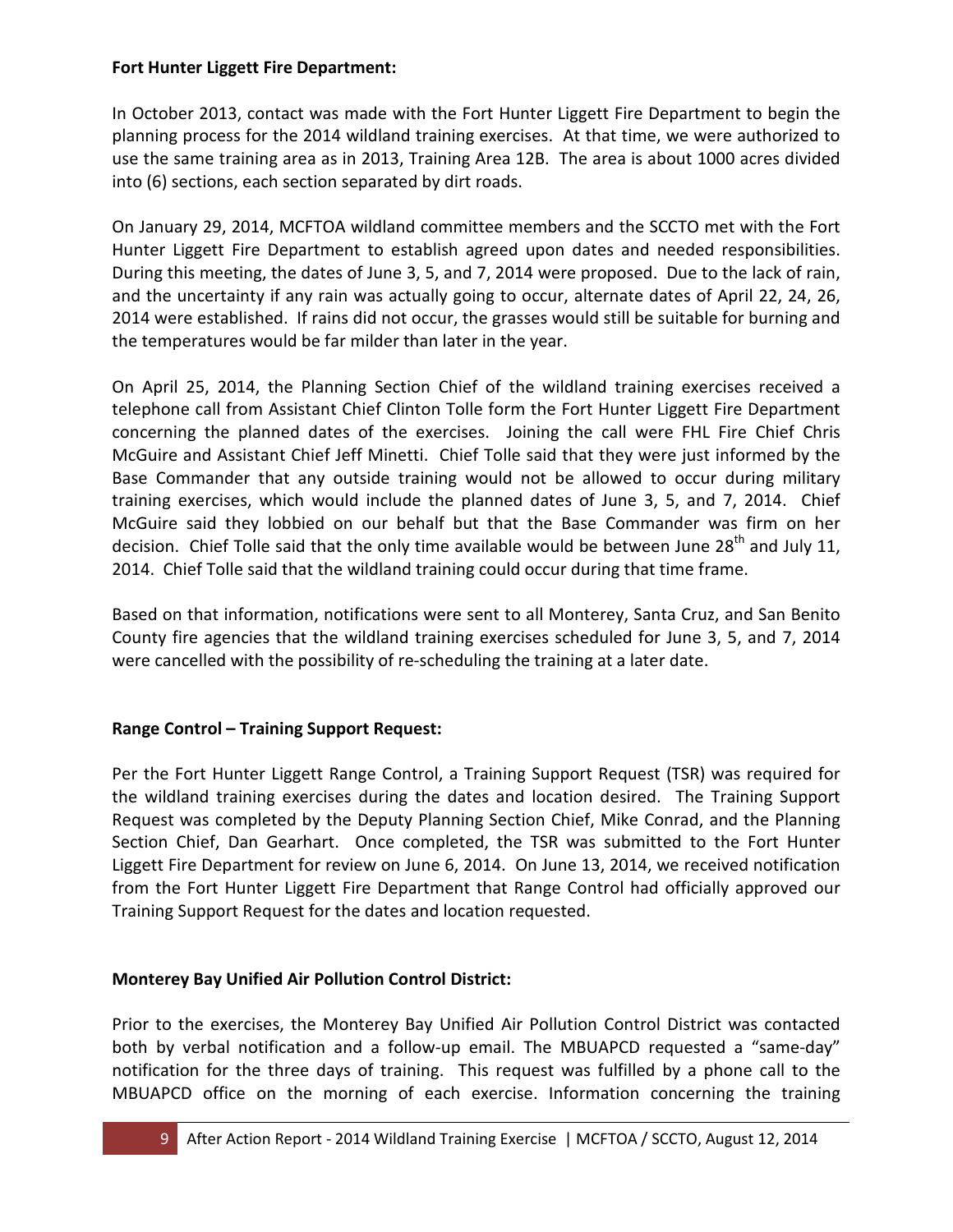#### **Fort Hunter Liggett Fire Department:**

In October 2013, contact was made with the Fort Hunter Liggett Fire Department to begin the planning process for the 2014 wildland training exercises. At that time, we were authorized to use the same training area as in 2013, Training Area 12B. The area is about 1000 acres divided into (6) sections, each section separated by dirt roads.

On January 29, 2014, MCFTOA wildland committee members and the SCCTO met with the Fort Hunter Liggett Fire Department to establish agreed upon dates and needed responsibilities. During this meeting, the dates of June 3, 5, and 7, 2014 were proposed. Due to the lack of rain, and the uncertainty if any rain was actually going to occur, alternate dates of April 22, 24, 26, 2014 were established. If rains did not occur, the grasses would still be suitable for burning and the temperatures would be far milder than later in the year.

On April 25, 2014, the Planning Section Chief of the wildland training exercises received a telephone call from Assistant Chief Clinton Tolle form the Fort Hunter Liggett Fire Department concerning the planned dates of the exercises. Joining the call were FHL Fire Chief Chris McGuire and Assistant Chief Jeff Minetti. Chief Tolle said that they were just informed by the Base Commander that any outside training would not be allowed to occur during military training exercises, which would include the planned dates of June 3, 5, and 7, 2014. Chief McGuire said they lobbied on our behalf but that the Base Commander was firm on her decision. Chief Tolle said that the only time available would be between June 28<sup>th</sup> and July 11, 2014. Chief Tolle said that the wildland training could occur during that time frame.

Based on that information, notifications were sent to all Monterey, Santa Cruz, and San Benito County fire agencies that the wildland training exercises scheduled for June 3, 5, and 7, 2014 were cancelled with the possibility of re-scheduling the training at a later date.

#### **Range Control – Training Support Request:**

Per the Fort Hunter Liggett Range Control, a Training Support Request (TSR) was required for the wildland training exercises during the dates and location desired. The Training Support Request was completed by the Deputy Planning Section Chief, Mike Conrad, and the Planning Section Chief, Dan Gearhart. Once completed, the TSR was submitted to the Fort Hunter Liggett Fire Department for review on June 6, 2014. On June 13, 2014, we received notification from the Fort Hunter Liggett Fire Department that Range Control had officially approved our Training Support Request for the dates and location requested.

#### **Monterey Bay Unified Air Pollution Control District:**

Prior to the exercises, the Monterey Bay Unified Air Pollution Control District was contacted both by verbal notification and a follow-up email. The MBUAPCD requested a "same-day" notification for the three days of training. This request was fulfilled by a phone call to the MBUAPCD office on the morning of each exercise. Information concerning the training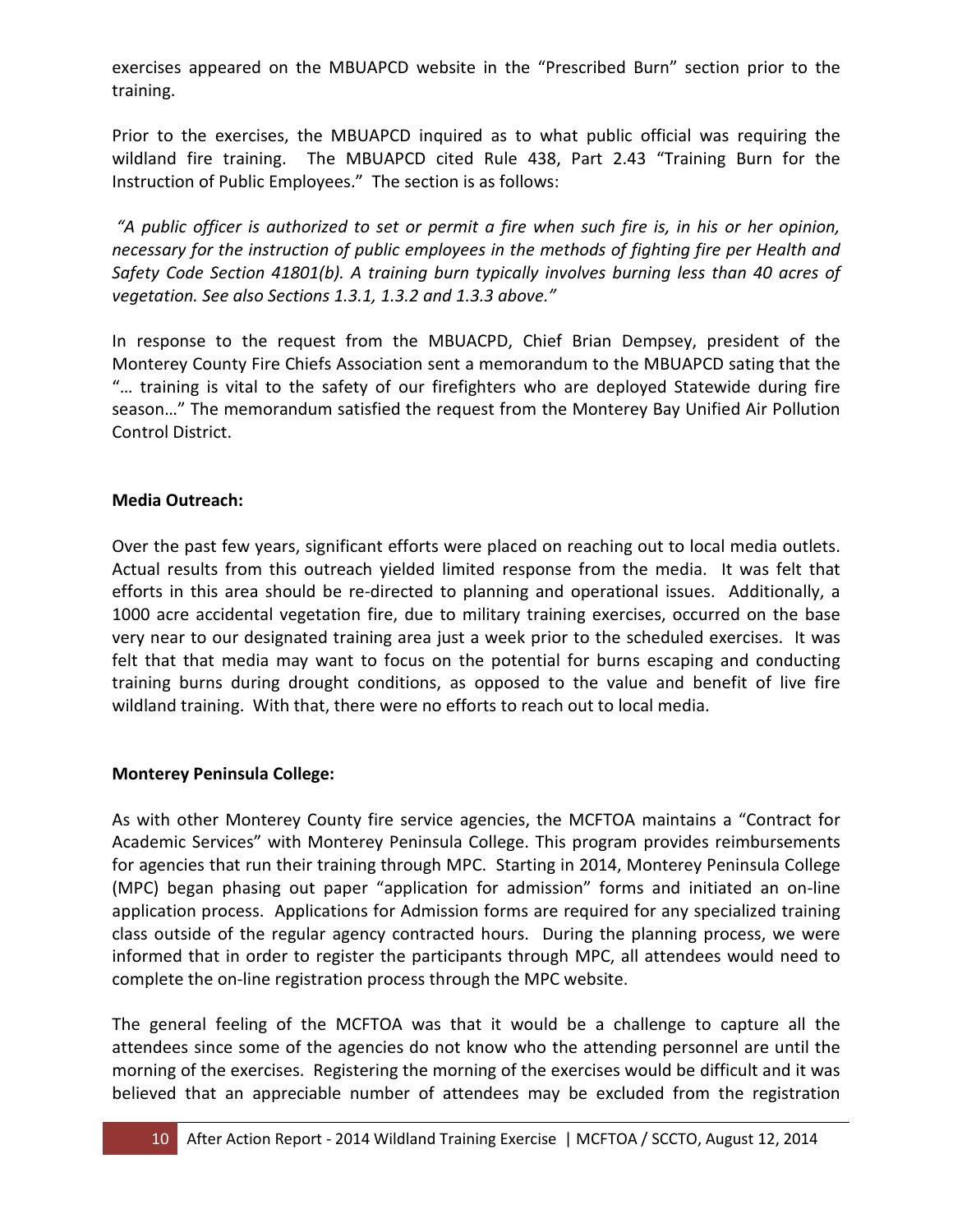exercises appeared on the MBUAPCD website in the "Prescribed Burn" section prior to the training.

Prior to the exercises, the MBUAPCD inquired as to what public official was requiring the wildland fire training. The MBUAPCD cited Rule 438, Part 2.43 "Training Burn for the Instruction of Public Employees." The section is as follows:

*"A public officer is authorized to set or permit a fire when such fire is, in his or her opinion, necessary for the instruction of public employees in the methods of fighting fire per Health and Safety Code Section 41801(b). A training burn typically involves burning less than 40 acres of vegetation. See also Sections 1.3.1, 1.3.2 and 1.3.3 above."*

In response to the request from the MBUACPD, Chief Brian Dempsey, president of the Monterey County Fire Chiefs Association sent a memorandum to the MBUAPCD sating that the "… training is vital to the safety of our firefighters who are deployed Statewide during fire season…" The memorandum satisfied the request from the Monterey Bay Unified Air Pollution Control District.

#### **Media Outreach:**

Over the past few years, significant efforts were placed on reaching out to local media outlets. Actual results from this outreach yielded limited response from the media. It was felt that efforts in this area should be re-directed to planning and operational issues. Additionally, a 1000 acre accidental vegetation fire, due to military training exercises, occurred on the base very near to our designated training area just a week prior to the scheduled exercises. It was felt that that media may want to focus on the potential for burns escaping and conducting training burns during drought conditions, as opposed to the value and benefit of live fire wildland training. With that, there were no efforts to reach out to local media.

#### **Monterey Peninsula College:**

As with other Monterey County fire service agencies, the MCFTOA maintains a "Contract for Academic Services" with Monterey Peninsula College. This program provides reimbursements for agencies that run their training through MPC. Starting in 2014, Monterey Peninsula College (MPC) began phasing out paper "application for admission" forms and initiated an on-line application process. Applications for Admission forms are required for any specialized training class outside of the regular agency contracted hours. During the planning process, we were informed that in order to register the participants through MPC, all attendees would need to complete the on-line registration process through the MPC website.

The general feeling of the MCFTOA was that it would be a challenge to capture all the attendees since some of the agencies do not know who the attending personnel are until the morning of the exercises. Registering the morning of the exercises would be difficult and it was believed that an appreciable number of attendees may be excluded from the registration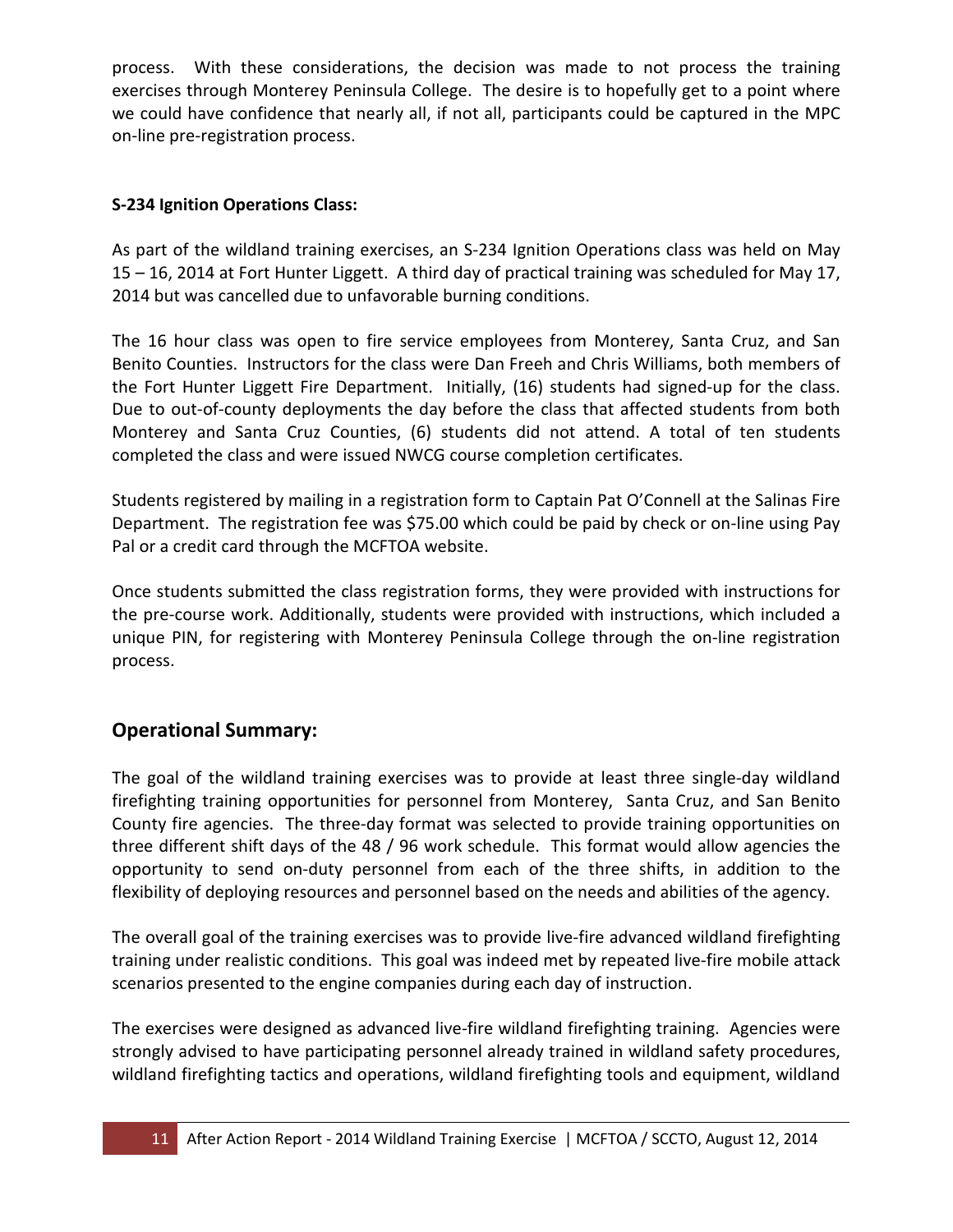process. With these considerations, the decision was made to not process the training exercises through Monterey Peninsula College. The desire is to hopefully get to a point where we could have confidence that nearly all, if not all, participants could be captured in the MPC on-line pre-registration process.

#### **S-234 Ignition Operations Class:**

As part of the wildland training exercises, an S-234 Ignition Operations class was held on May 15 – 16, 2014 at Fort Hunter Liggett. A third day of practical training was scheduled for May 17, 2014 but was cancelled due to unfavorable burning conditions.

The 16 hour class was open to fire service employees from Monterey, Santa Cruz, and San Benito Counties. Instructors for the class were Dan Freeh and Chris Williams, both members of the Fort Hunter Liggett Fire Department. Initially, (16) students had signed-up for the class. Due to out-of-county deployments the day before the class that affected students from both Monterey and Santa Cruz Counties, (6) students did not attend. A total of ten students completed the class and were issued NWCG course completion certificates.

Students registered by mailing in a registration form to Captain Pat O'Connell at the Salinas Fire Department. The registration fee was \$75.00 which could be paid by check or on-line using Pay Pal or a credit card through the MCFTOA website.

Once students submitted the class registration forms, they were provided with instructions for the pre-course work. Additionally, students were provided with instructions, which included a unique PIN, for registering with Monterey Peninsula College through the on-line registration process.

## **Operational Summary:**

The goal of the wildland training exercises was to provide at least three single-day wildland firefighting training opportunities for personnel from Monterey, Santa Cruz, and San Benito County fire agencies. The three-day format was selected to provide training opportunities on three different shift days of the 48 / 96 work schedule. This format would allow agencies the opportunity to send on-duty personnel from each of the three shifts, in addition to the flexibility of deploying resources and personnel based on the needs and abilities of the agency.

The overall goal of the training exercises was to provide live-fire advanced wildland firefighting training under realistic conditions. This goal was indeed met by repeated live-fire mobile attack scenarios presented to the engine companies during each day of instruction.

The exercises were designed as advanced live-fire wildland firefighting training. Agencies were strongly advised to have participating personnel already trained in wildland safety procedures, wildland firefighting tactics and operations, wildland firefighting tools and equipment, wildland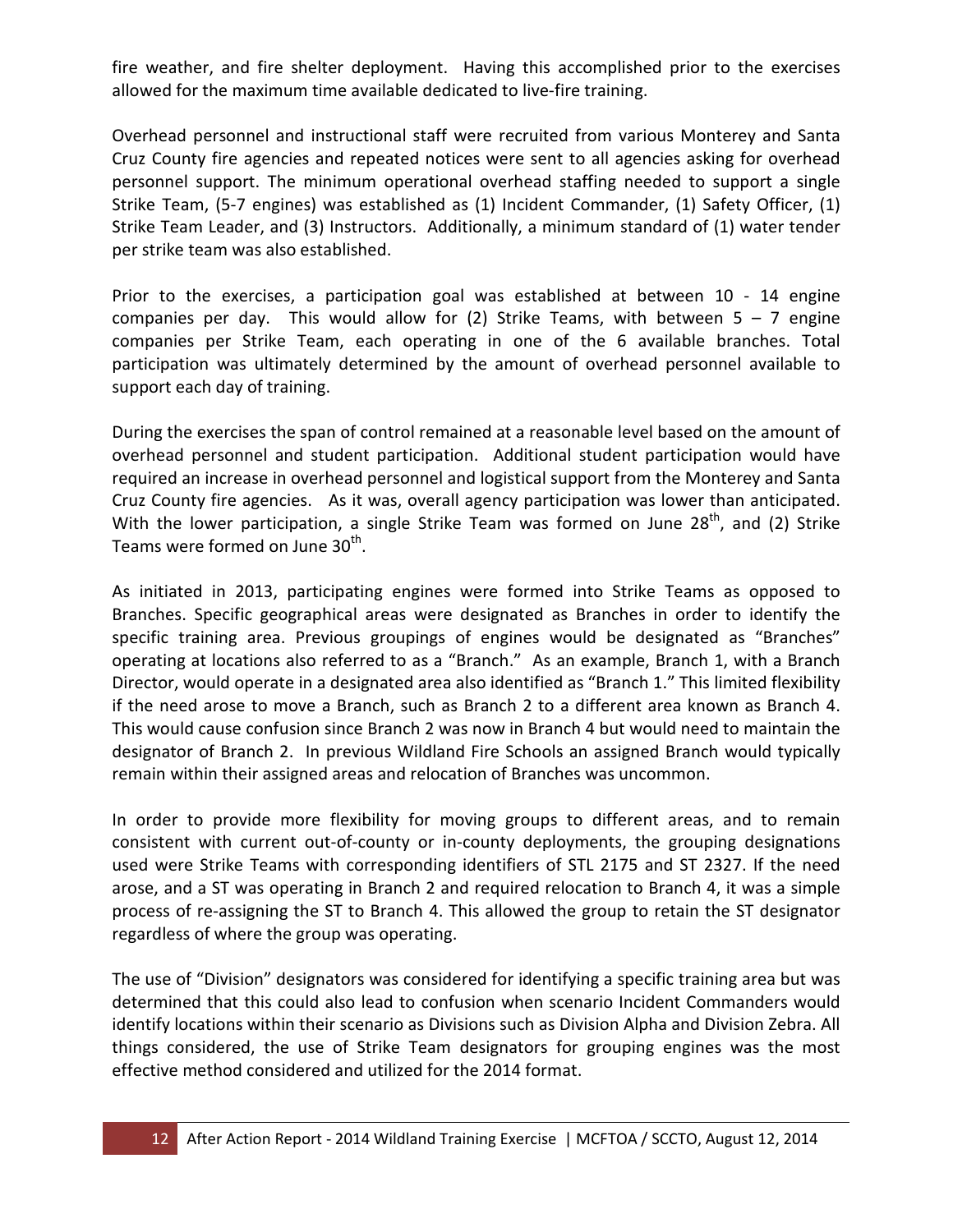fire weather, and fire shelter deployment. Having this accomplished prior to the exercises allowed for the maximum time available dedicated to live-fire training.

Overhead personnel and instructional staff were recruited from various Monterey and Santa Cruz County fire agencies and repeated notices were sent to all agencies asking for overhead personnel support. The minimum operational overhead staffing needed to support a single Strike Team, (5-7 engines) was established as (1) Incident Commander, (1) Safety Officer, (1) Strike Team Leader, and (3) Instructors. Additionally, a minimum standard of (1) water tender per strike team was also established.

Prior to the exercises, a participation goal was established at between 10 - 14 engine companies per day. This would allow for (2) Strike Teams, with between  $5 - 7$  engine companies per Strike Team, each operating in one of the 6 available branches. Total participation was ultimately determined by the amount of overhead personnel available to support each day of training.

During the exercises the span of control remained at a reasonable level based on the amount of overhead personnel and student participation. Additional student participation would have required an increase in overhead personnel and logistical support from the Monterey and Santa Cruz County fire agencies. As it was, overall agency participation was lower than anticipated. With the lower participation, a single Strike Team was formed on June  $28<sup>th</sup>$ , and (2) Strike Teams were formed on June 30<sup>th</sup>.

As initiated in 2013, participating engines were formed into Strike Teams as opposed to Branches. Specific geographical areas were designated as Branches in order to identify the specific training area. Previous groupings of engines would be designated as "Branches" operating at locations also referred to as a "Branch." As an example, Branch 1, with a Branch Director, would operate in a designated area also identified as "Branch 1." This limited flexibility if the need arose to move a Branch, such as Branch 2 to a different area known as Branch 4. This would cause confusion since Branch 2 was now in Branch 4 but would need to maintain the designator of Branch 2. In previous Wildland Fire Schools an assigned Branch would typically remain within their assigned areas and relocation of Branches was uncommon.

In order to provide more flexibility for moving groups to different areas, and to remain consistent with current out-of-county or in-county deployments, the grouping designations used were Strike Teams with corresponding identifiers of STL 2175 and ST 2327. If the need arose, and a ST was operating in Branch 2 and required relocation to Branch 4, it was a simple process of re-assigning the ST to Branch 4. This allowed the group to retain the ST designator regardless of where the group was operating.

The use of "Division" designators was considered for identifying a specific training area but was determined that this could also lead to confusion when scenario Incident Commanders would identify locations within their scenario as Divisions such as Division Alpha and Division Zebra. All things considered, the use of Strike Team designators for grouping engines was the most effective method considered and utilized for the 2014 format.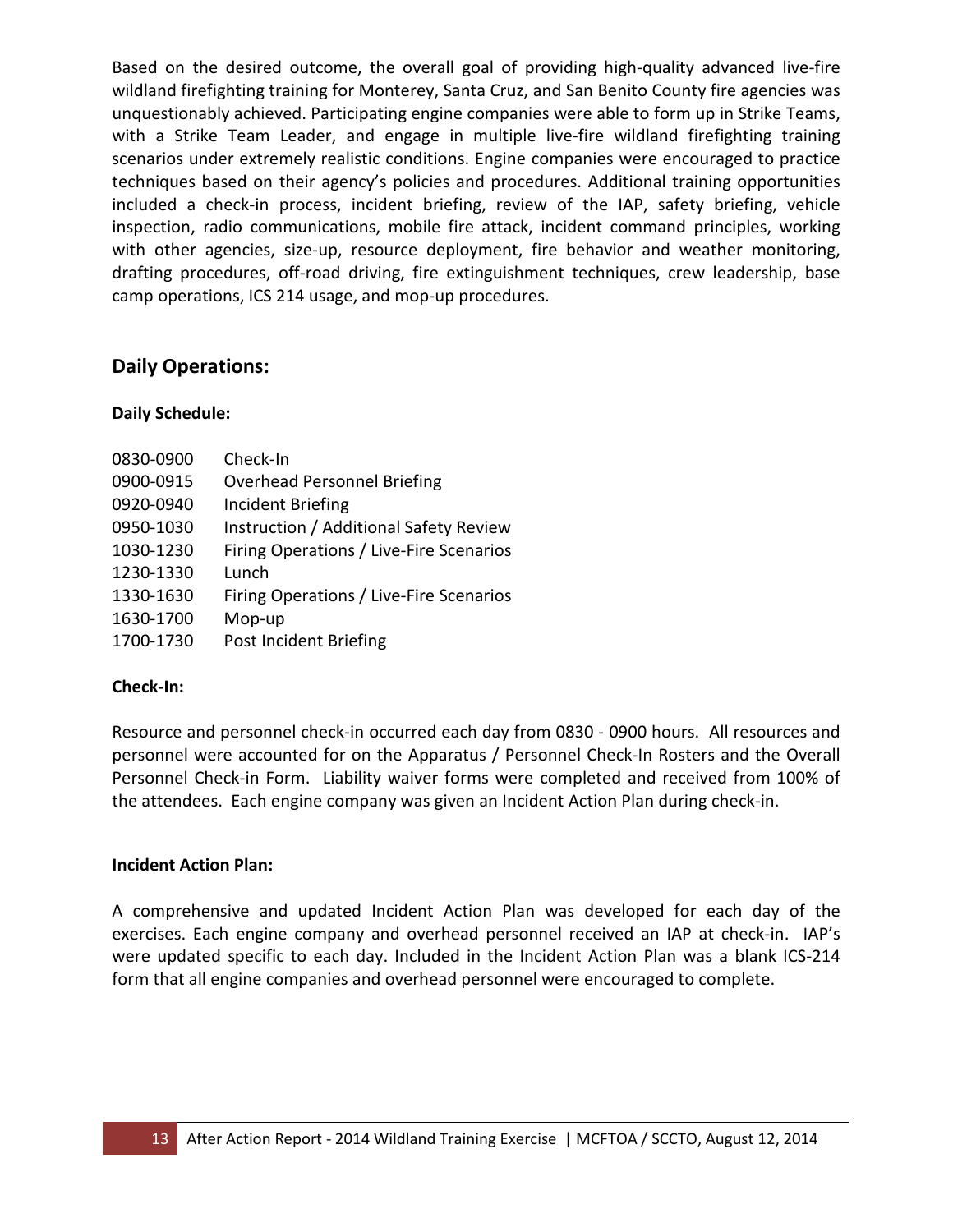Based on the desired outcome, the overall goal of providing high-quality advanced live-fire wildland firefighting training for Monterey, Santa Cruz, and San Benito County fire agencies was unquestionably achieved. Participating engine companies were able to form up in Strike Teams, with a Strike Team Leader, and engage in multiple live-fire wildland firefighting training scenarios under extremely realistic conditions. Engine companies were encouraged to practice techniques based on their agency's policies and procedures. Additional training opportunities included a check-in process, incident briefing, review of the IAP, safety briefing, vehicle inspection, radio communications, mobile fire attack, incident command principles, working with other agencies, size-up, resource deployment, fire behavior and weather monitoring, drafting procedures, off-road driving, fire extinguishment techniques, crew leadership, base camp operations, ICS 214 usage, and mop-up procedures.

#### **Daily Operations:**

#### **Daily Schedule:**

| 0830-0900 | Check-In                                |
|-----------|-----------------------------------------|
| 0900-0915 | <b>Overhead Personnel Briefing</b>      |
| 0920-0940 | <b>Incident Briefing</b>                |
| 0950-1030 | Instruction / Additional Safety Review  |
| 1030-1230 | Firing Operations / Live-Fire Scenarios |
| 1230-1330 | Lunch                                   |
| 1330-1630 | Firing Operations / Live-Fire Scenarios |
| 1630-1700 | Mop-up                                  |
| 1700-1730 | Post Incident Briefing                  |

#### **Check-In:**

Resource and personnel check-in occurred each day from 0830 - 0900 hours. All resources and personnel were accounted for on the Apparatus / Personnel Check-In Rosters and the Overall Personnel Check-in Form. Liability waiver forms were completed and received from 100% of the attendees. Each engine company was given an Incident Action Plan during check-in.

#### **Incident Action Plan:**

A comprehensive and updated Incident Action Plan was developed for each day of the exercises. Each engine company and overhead personnel received an IAP at check-in. IAP's were updated specific to each day. Included in the Incident Action Plan was a blank ICS-214 form that all engine companies and overhead personnel were encouraged to complete.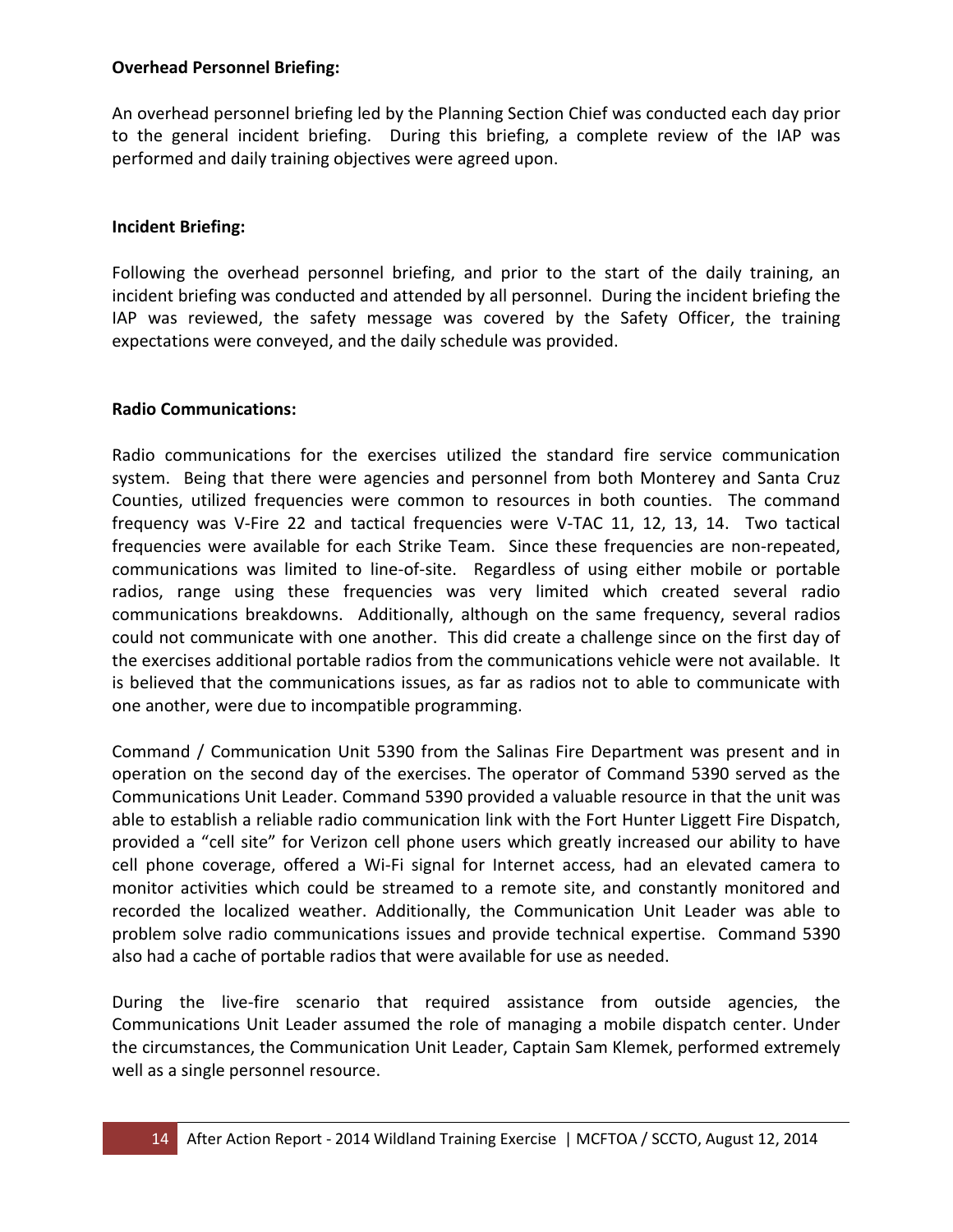#### **Overhead Personnel Briefing:**

An overhead personnel briefing led by the Planning Section Chief was conducted each day prior to the general incident briefing. During this briefing, a complete review of the IAP was performed and daily training objectives were agreed upon.

#### **Incident Briefing:**

Following the overhead personnel briefing, and prior to the start of the daily training, an incident briefing was conducted and attended by all personnel. During the incident briefing the IAP was reviewed, the safety message was covered by the Safety Officer, the training expectations were conveyed, and the daily schedule was provided.

#### **Radio Communications:**

Radio communications for the exercises utilized the standard fire service communication system. Being that there were agencies and personnel from both Monterey and Santa Cruz Counties, utilized frequencies were common to resources in both counties. The command frequency was V-Fire 22 and tactical frequencies were V-TAC 11, 12, 13, 14. Two tactical frequencies were available for each Strike Team. Since these frequencies are non-repeated, communications was limited to line-of-site. Regardless of using either mobile or portable radios, range using these frequencies was very limited which created several radio communications breakdowns. Additionally, although on the same frequency, several radios could not communicate with one another. This did create a challenge since on the first day of the exercises additional portable radios from the communications vehicle were not available. It is believed that the communications issues, as far as radios not to able to communicate with one another, were due to incompatible programming.

Command / Communication Unit 5390 from the Salinas Fire Department was present and in operation on the second day of the exercises. The operator of Command 5390 served as the Communications Unit Leader. Command 5390 provided a valuable resource in that the unit was able to establish a reliable radio communication link with the Fort Hunter Liggett Fire Dispatch, provided a "cell site" for Verizon cell phone users which greatly increased our ability to have cell phone coverage, offered a Wi-Fi signal for Internet access, had an elevated camera to monitor activities which could be streamed to a remote site, and constantly monitored and recorded the localized weather. Additionally, the Communication Unit Leader was able to problem solve radio communications issues and provide technical expertise. Command 5390 also had a cache of portable radios that were available for use as needed.

During the live-fire scenario that required assistance from outside agencies, the Communications Unit Leader assumed the role of managing a mobile dispatch center. Under the circumstances, the Communication Unit Leader, Captain Sam Klemek, performed extremely well as a single personnel resource.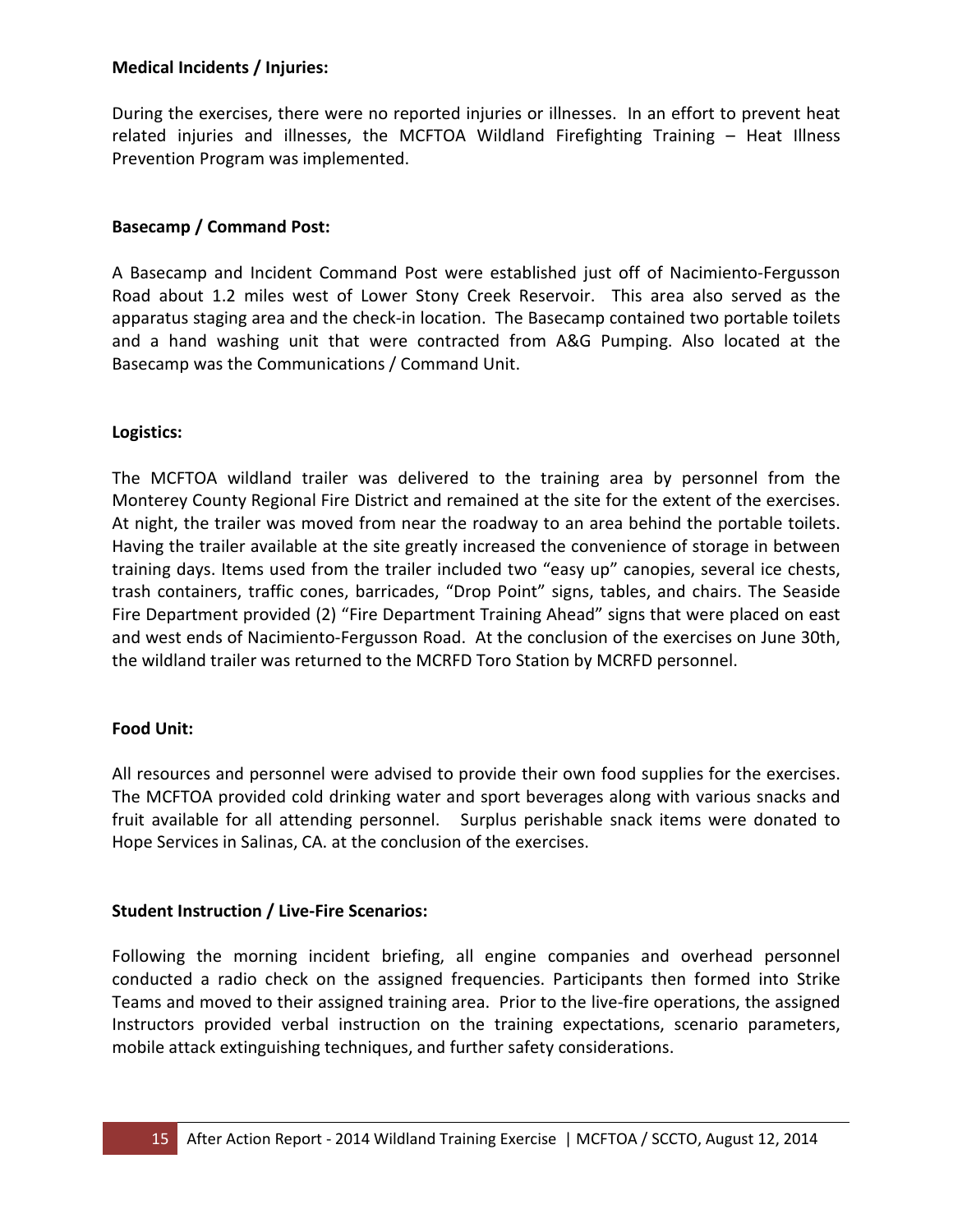#### **Medical Incidents / Injuries:**

During the exercises, there were no reported injuries or illnesses. In an effort to prevent heat related injuries and illnesses, the MCFTOA Wildland Firefighting Training – Heat Illness Prevention Program was implemented.

#### **Basecamp / Command Post:**

A Basecamp and Incident Command Post were established just off of Nacimiento-Fergusson Road about 1.2 miles west of Lower Stony Creek Reservoir. This area also served as the apparatus staging area and the check-in location. The Basecamp contained two portable toilets and a hand washing unit that were contracted from A&G Pumping. Also located at the Basecamp was the Communications / Command Unit.

#### **Logistics:**

The MCFTOA wildland trailer was delivered to the training area by personnel from the Monterey County Regional Fire District and remained at the site for the extent of the exercises. At night, the trailer was moved from near the roadway to an area behind the portable toilets. Having the trailer available at the site greatly increased the convenience of storage in between training days. Items used from the trailer included two "easy up" canopies, several ice chests, trash containers, traffic cones, barricades, "Drop Point" signs, tables, and chairs. The Seaside Fire Department provided (2) "Fire Department Training Ahead" signs that were placed on east and west ends of Nacimiento-Fergusson Road. At the conclusion of the exercises on June 30th, the wildland trailer was returned to the MCRFD Toro Station by MCRFD personnel.

#### **Food Unit:**

All resources and personnel were advised to provide their own food supplies for the exercises. The MCFTOA provided cold drinking water and sport beverages along with various snacks and fruit available for all attending personnel. Surplus perishable snack items were donated to Hope Services in Salinas, CA. at the conclusion of the exercises.

#### **Student Instruction / Live-Fire Scenarios:**

Following the morning incident briefing, all engine companies and overhead personnel conducted a radio check on the assigned frequencies. Participants then formed into Strike Teams and moved to their assigned training area. Prior to the live-fire operations, the assigned Instructors provided verbal instruction on the training expectations, scenario parameters, mobile attack extinguishing techniques, and further safety considerations.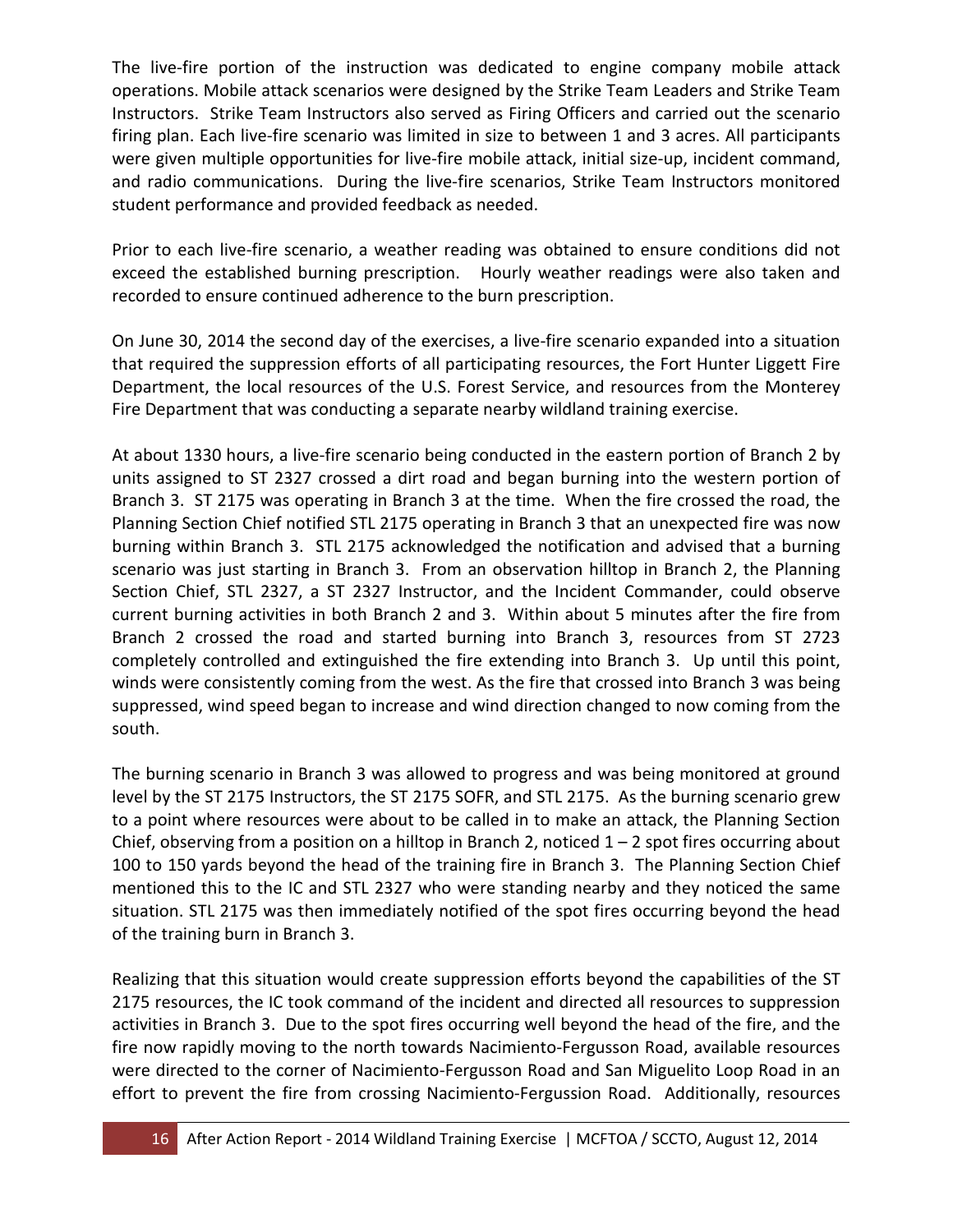The live-fire portion of the instruction was dedicated to engine company mobile attack operations. Mobile attack scenarios were designed by the Strike Team Leaders and Strike Team Instructors. Strike Team Instructors also served as Firing Officers and carried out the scenario firing plan. Each live-fire scenario was limited in size to between 1 and 3 acres. All participants were given multiple opportunities for live-fire mobile attack, initial size-up, incident command, and radio communications. During the live-fire scenarios, Strike Team Instructors monitored student performance and provided feedback as needed.

Prior to each live-fire scenario, a weather reading was obtained to ensure conditions did not exceed the established burning prescription. Hourly weather readings were also taken and recorded to ensure continued adherence to the burn prescription.

On June 30, 2014 the second day of the exercises, a live-fire scenario expanded into a situation that required the suppression efforts of all participating resources, the Fort Hunter Liggett Fire Department, the local resources of the U.S. Forest Service, and resources from the Monterey Fire Department that was conducting a separate nearby wildland training exercise.

At about 1330 hours, a live-fire scenario being conducted in the eastern portion of Branch 2 by units assigned to ST 2327 crossed a dirt road and began burning into the western portion of Branch 3. ST 2175 was operating in Branch 3 at the time. When the fire crossed the road, the Planning Section Chief notified STL 2175 operating in Branch 3 that an unexpected fire was now burning within Branch 3. STL 2175 acknowledged the notification and advised that a burning scenario was just starting in Branch 3. From an observation hilltop in Branch 2, the Planning Section Chief, STL 2327, a ST 2327 Instructor, and the Incident Commander, could observe current burning activities in both Branch 2 and 3. Within about 5 minutes after the fire from Branch 2 crossed the road and started burning into Branch 3, resources from ST 2723 completely controlled and extinguished the fire extending into Branch 3. Up until this point, winds were consistently coming from the west. As the fire that crossed into Branch 3 was being suppressed, wind speed began to increase and wind direction changed to now coming from the south.

The burning scenario in Branch 3 was allowed to progress and was being monitored at ground level by the ST 2175 Instructors, the ST 2175 SOFR, and STL 2175. As the burning scenario grew to a point where resources were about to be called in to make an attack, the Planning Section Chief, observing from a position on a hilltop in Branch 2, noticed  $1 - 2$  spot fires occurring about 100 to 150 yards beyond the head of the training fire in Branch 3. The Planning Section Chief mentioned this to the IC and STL 2327 who were standing nearby and they noticed the same situation. STL 2175 was then immediately notified of the spot fires occurring beyond the head of the training burn in Branch 3.

Realizing that this situation would create suppression efforts beyond the capabilities of the ST 2175 resources, the IC took command of the incident and directed all resources to suppression activities in Branch 3. Due to the spot fires occurring well beyond the head of the fire, and the fire now rapidly moving to the north towards Nacimiento-Fergusson Road, available resources were directed to the corner of Nacimiento-Fergusson Road and San Miguelito Loop Road in an effort to prevent the fire from crossing Nacimiento-Fergussion Road. Additionally, resources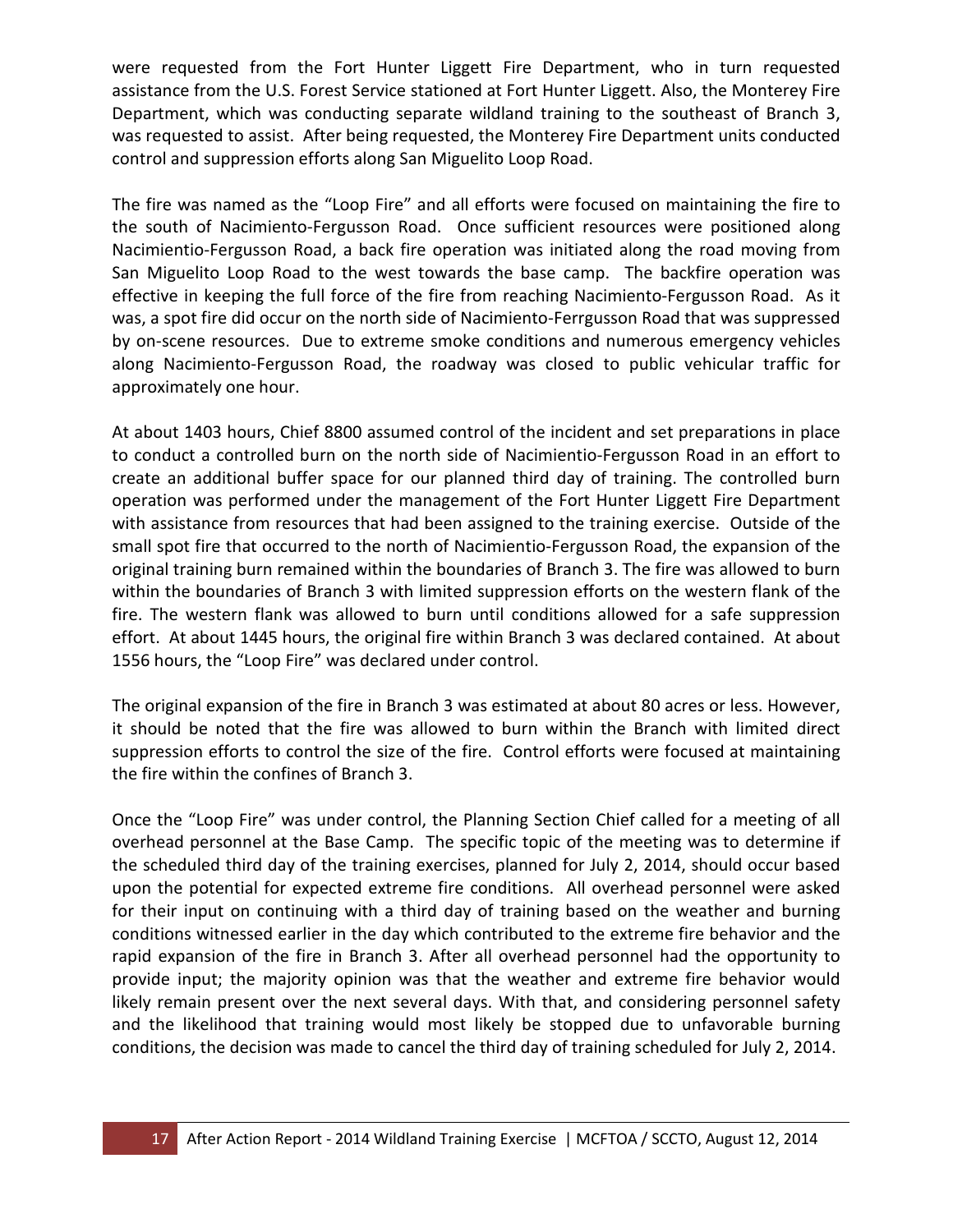were requested from the Fort Hunter Liggett Fire Department, who in turn requested assistance from the U.S. Forest Service stationed at Fort Hunter Liggett. Also, the Monterey Fire Department, which was conducting separate wildland training to the southeast of Branch 3, was requested to assist. After being requested, the Monterey Fire Department units conducted control and suppression efforts along San Miguelito Loop Road.

The fire was named as the "Loop Fire" and all efforts were focused on maintaining the fire to the south of Nacimiento-Fergusson Road. Once sufficient resources were positioned along Nacimientio-Fergusson Road, a back fire operation was initiated along the road moving from San Miguelito Loop Road to the west towards the base camp. The backfire operation was effective in keeping the full force of the fire from reaching Nacimiento-Fergusson Road. As it was, a spot fire did occur on the north side of Nacimiento-Ferrgusson Road that was suppressed by on-scene resources. Due to extreme smoke conditions and numerous emergency vehicles along Nacimiento-Fergusson Road, the roadway was closed to public vehicular traffic for approximately one hour.

At about 1403 hours, Chief 8800 assumed control of the incident and set preparations in place to conduct a controlled burn on the north side of Nacimientio-Fergusson Road in an effort to create an additional buffer space for our planned third day of training. The controlled burn operation was performed under the management of the Fort Hunter Liggett Fire Department with assistance from resources that had been assigned to the training exercise. Outside of the small spot fire that occurred to the north of Nacimientio-Fergusson Road, the expansion of the original training burn remained within the boundaries of Branch 3. The fire was allowed to burn within the boundaries of Branch 3 with limited suppression efforts on the western flank of the fire. The western flank was allowed to burn until conditions allowed for a safe suppression effort. At about 1445 hours, the original fire within Branch 3 was declared contained. At about 1556 hours, the "Loop Fire" was declared under control.

The original expansion of the fire in Branch 3 was estimated at about 80 acres or less. However, it should be noted that the fire was allowed to burn within the Branch with limited direct suppression efforts to control the size of the fire. Control efforts were focused at maintaining the fire within the confines of Branch 3.

Once the "Loop Fire" was under control, the Planning Section Chief called for a meeting of all overhead personnel at the Base Camp. The specific topic of the meeting was to determine if the scheduled third day of the training exercises, planned for July 2, 2014, should occur based upon the potential for expected extreme fire conditions. All overhead personnel were asked for their input on continuing with a third day of training based on the weather and burning conditions witnessed earlier in the day which contributed to the extreme fire behavior and the rapid expansion of the fire in Branch 3. After all overhead personnel had the opportunity to provide input; the majority opinion was that the weather and extreme fire behavior would likely remain present over the next several days. With that, and considering personnel safety and the likelihood that training would most likely be stopped due to unfavorable burning conditions, the decision was made to cancel the third day of training scheduled for July 2, 2014.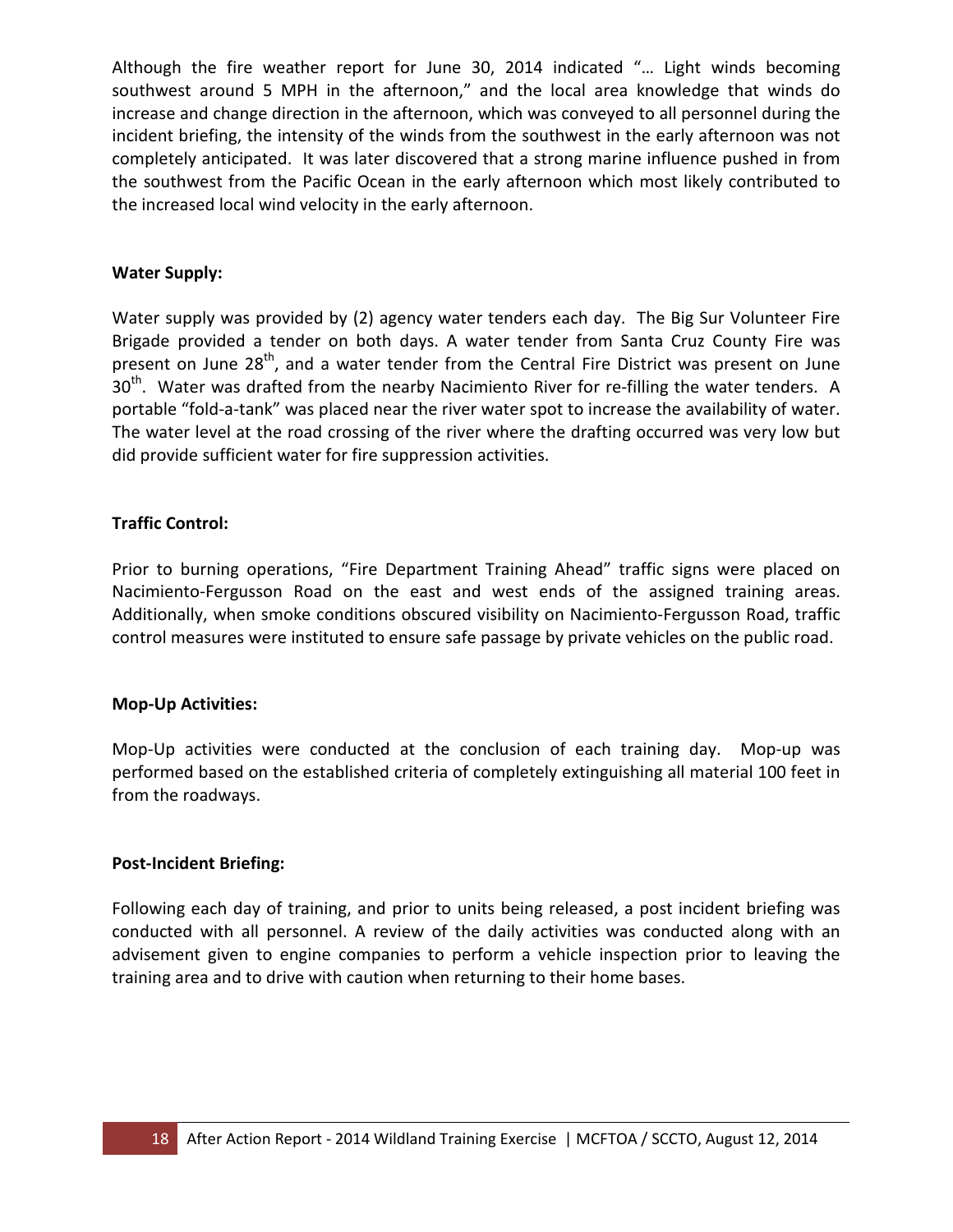Although the fire weather report for June 30, 2014 indicated "… Light winds becoming southwest around 5 MPH in the afternoon," and the local area knowledge that winds do increase and change direction in the afternoon, which was conveyed to all personnel during the incident briefing, the intensity of the winds from the southwest in the early afternoon was not completely anticipated. It was later discovered that a strong marine influence pushed in from the southwest from the Pacific Ocean in the early afternoon which most likely contributed to the increased local wind velocity in the early afternoon.

#### **Water Supply:**

Water supply was provided by (2) agency water tenders each day. The Big Sur Volunteer Fire Brigade provided a tender on both days. A water tender from Santa Cruz County Fire was present on June  $28<sup>th</sup>$ , and a water tender from the Central Fire District was present on June  $30<sup>th</sup>$ . Water was drafted from the nearby Nacimiento River for re-filling the water tenders. A portable "fold-a-tank" was placed near the river water spot to increase the availability of water. The water level at the road crossing of the river where the drafting occurred was very low but did provide sufficient water for fire suppression activities.

#### **Traffic Control:**

Prior to burning operations, "Fire Department Training Ahead" traffic signs were placed on Nacimiento-Fergusson Road on the east and west ends of the assigned training areas. Additionally, when smoke conditions obscured visibility on Nacimiento-Fergusson Road, traffic control measures were instituted to ensure safe passage by private vehicles on the public road.

#### **Mop-Up Activities:**

Mop-Up activities were conducted at the conclusion of each training day. Mop-up was performed based on the established criteria of completely extinguishing all material 100 feet in from the roadways.

#### **Post-Incident Briefing:**

Following each day of training, and prior to units being released, a post incident briefing was conducted with all personnel. A review of the daily activities was conducted along with an advisement given to engine companies to perform a vehicle inspection prior to leaving the training area and to drive with caution when returning to their home bases.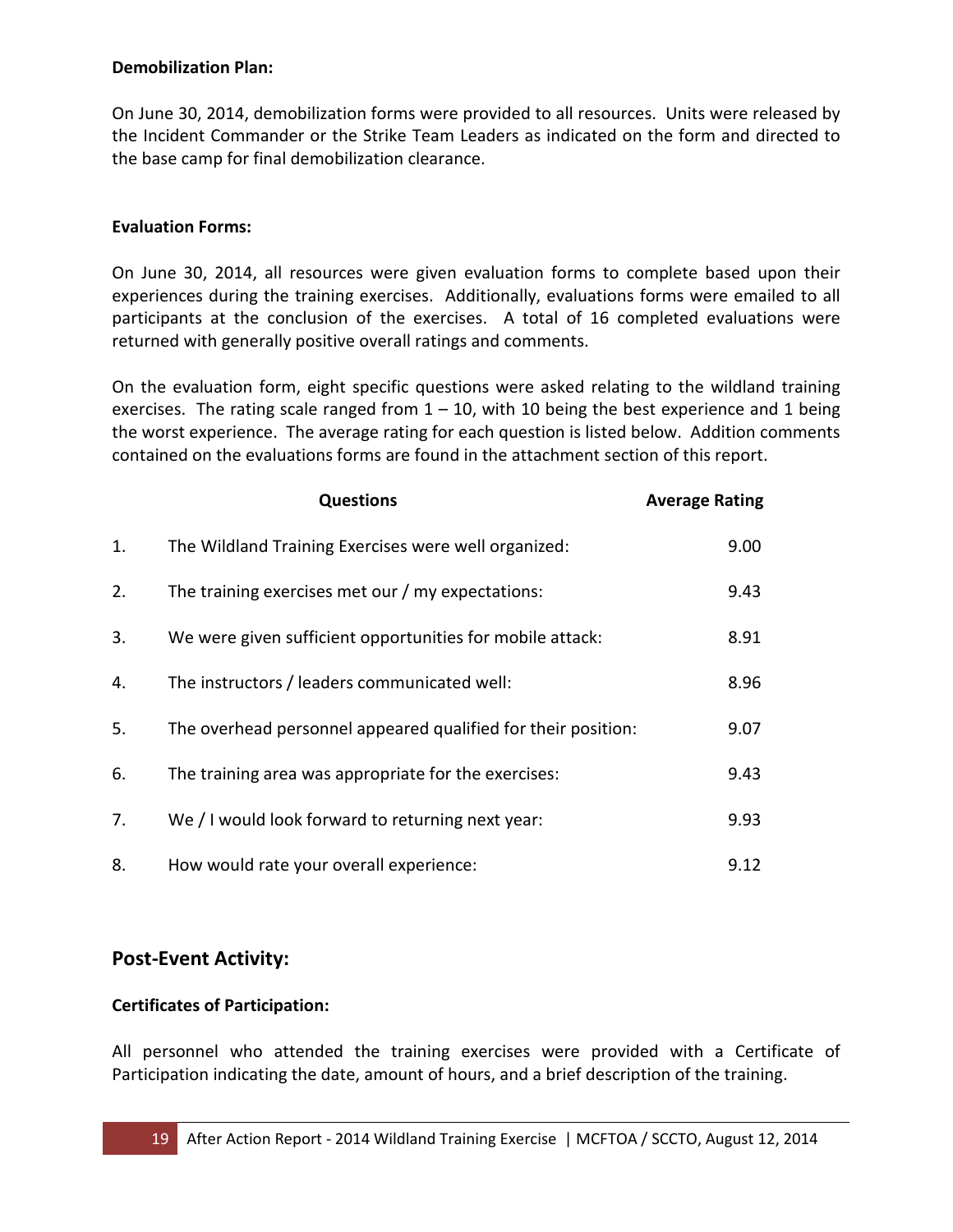#### **Demobilization Plan:**

On June 30, 2014, demobilization forms were provided to all resources. Units were released by the Incident Commander or the Strike Team Leaders as indicated on the form and directed to the base camp for final demobilization clearance.

#### **Evaluation Forms:**

On June 30, 2014, all resources were given evaluation forms to complete based upon their experiences during the training exercises. Additionally, evaluations forms were emailed to all participants at the conclusion of the exercises. A total of 16 completed evaluations were returned with generally positive overall ratings and comments.

On the evaluation form, eight specific questions were asked relating to the wildland training exercises. The rating scale ranged from  $1 - 10$ , with 10 being the best experience and 1 being the worst experience. The average rating for each question is listed below. Addition comments contained on the evaluations forms are found in the attachment section of this report.

|    | <b>Questions</b>                                              | <b>Average Rating</b> |
|----|---------------------------------------------------------------|-----------------------|
| 1. | The Wildland Training Exercises were well organized:          | 9.00                  |
| 2. | The training exercises met our / my expectations:             | 9.43                  |
| 3. | We were given sufficient opportunities for mobile attack:     | 8.91                  |
| 4. | The instructors / leaders communicated well:                  | 8.96                  |
| 5. | The overhead personnel appeared qualified for their position: | 9.07                  |
| 6. | The training area was appropriate for the exercises:          | 9.43                  |
| 7. | We / I would look forward to returning next year:             | 9.93                  |
| 8. | How would rate your overall experience:                       | 9.12                  |

#### **Post-Event Activity:**

#### **Certificates of Participation:**

All personnel who attended the training exercises were provided with a Certificate of Participation indicating the date, amount of hours, and a brief description of the training.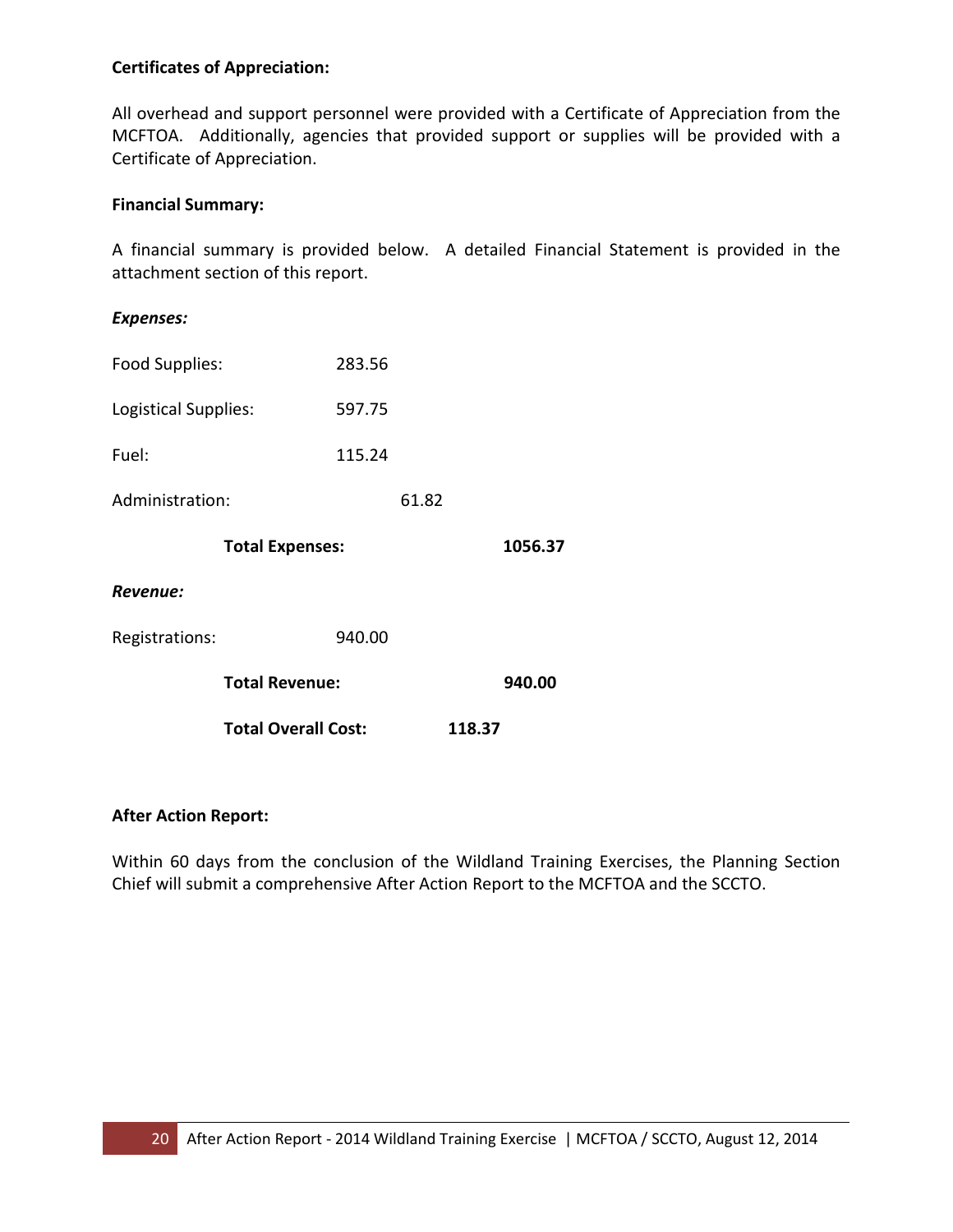#### **Certificates of Appreciation:**

All overhead and support personnel were provided with a Certificate of Appreciation from the MCFTOA. Additionally, agencies that provided support or supplies will be provided with a Certificate of Appreciation.

#### **Financial Summary:**

A financial summary is provided below. A detailed Financial Statement is provided in the attachment section of this report.

#### *Expenses:*

| Food Supplies:       |                            | 283.56 |       |        |         |  |
|----------------------|----------------------------|--------|-------|--------|---------|--|
| Logistical Supplies: |                            | 597.75 |       |        |         |  |
| Fuel:                |                            | 115.24 |       |        |         |  |
| Administration:      |                            |        | 61.82 |        |         |  |
|                      | <b>Total Expenses:</b>     |        |       |        | 1056.37 |  |
| Revenue:             |                            |        |       |        |         |  |
| Registrations:       |                            | 940.00 |       |        |         |  |
|                      | <b>Total Revenue:</b>      |        |       |        | 940.00  |  |
|                      | <b>Total Overall Cost:</b> |        |       | 118.37 |         |  |

#### **After Action Report:**

Within 60 days from the conclusion of the Wildland Training Exercises, the Planning Section Chief will submit a comprehensive After Action Report to the MCFTOA and the SCCTO.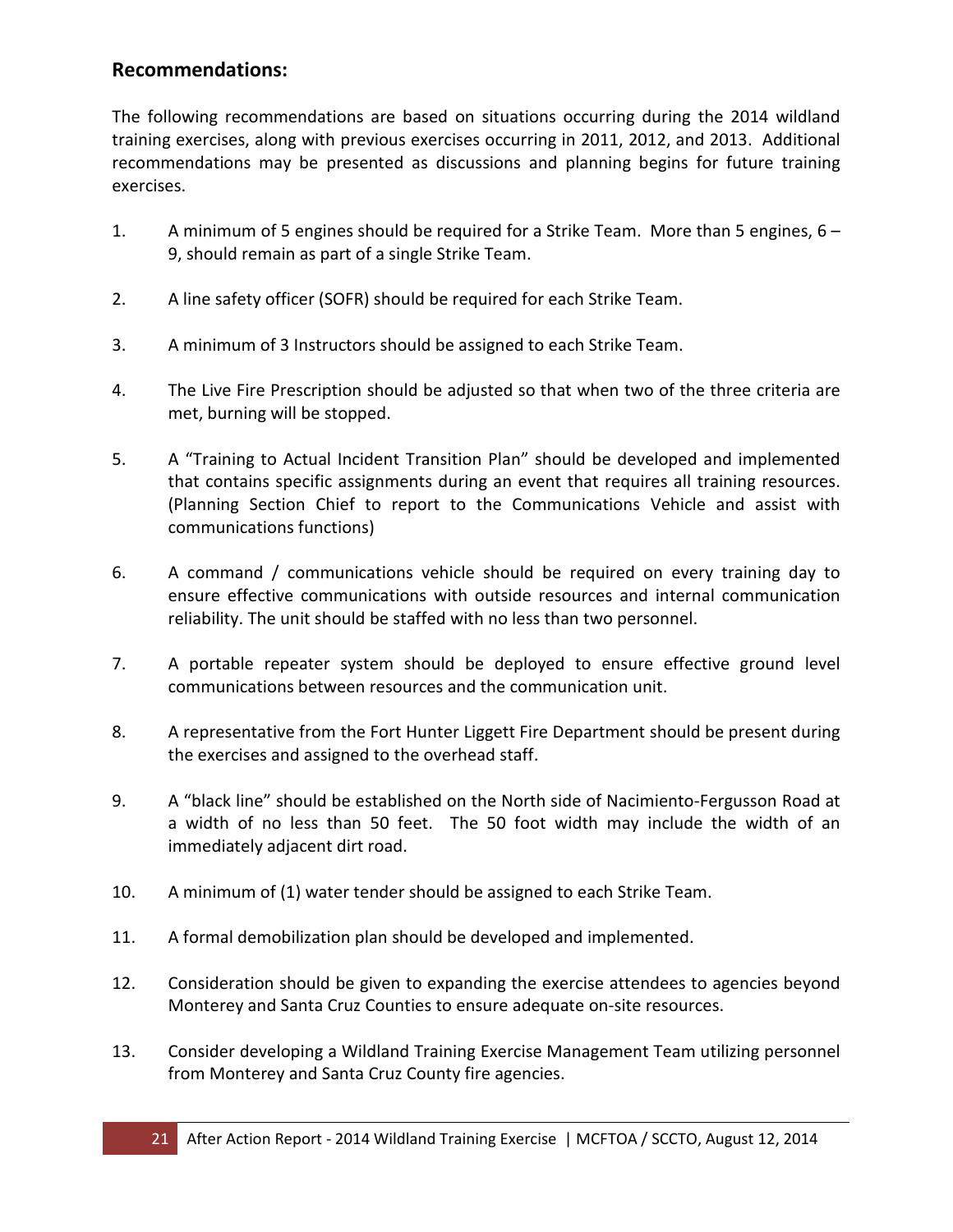#### **Recommendations:**

The following recommendations are based on situations occurring during the 2014 wildland training exercises, along with previous exercises occurring in 2011, 2012, and 2013. Additional recommendations may be presented as discussions and planning begins for future training exercises.

- 1. A minimum of 5 engines should be required for a Strike Team. More than 5 engines, 6 9, should remain as part of a single Strike Team.
- 2. A line safety officer (SOFR) should be required for each Strike Team.
- 3. A minimum of 3 Instructors should be assigned to each Strike Team.
- 4. The Live Fire Prescription should be adjusted so that when two of the three criteria are met, burning will be stopped.
- 5. A "Training to Actual Incident Transition Plan" should be developed and implemented that contains specific assignments during an event that requires all training resources. (Planning Section Chief to report to the Communications Vehicle and assist with communications functions)
- 6. A command / communications vehicle should be required on every training day to ensure effective communications with outside resources and internal communication reliability. The unit should be staffed with no less than two personnel.
- 7. A portable repeater system should be deployed to ensure effective ground level communications between resources and the communication unit.
- 8. A representative from the Fort Hunter Liggett Fire Department should be present during the exercises and assigned to the overhead staff.
- 9. A "black line" should be established on the North side of Nacimiento-Fergusson Road at a width of no less than 50 feet. The 50 foot width may include the width of an immediately adjacent dirt road.
- 10. A minimum of (1) water tender should be assigned to each Strike Team.
- 11. A formal demobilization plan should be developed and implemented.
- 12. Consideration should be given to expanding the exercise attendees to agencies beyond Monterey and Santa Cruz Counties to ensure adequate on-site resources.
- 13. Consider developing a Wildland Training Exercise Management Team utilizing personnel from Monterey and Santa Cruz County fire agencies.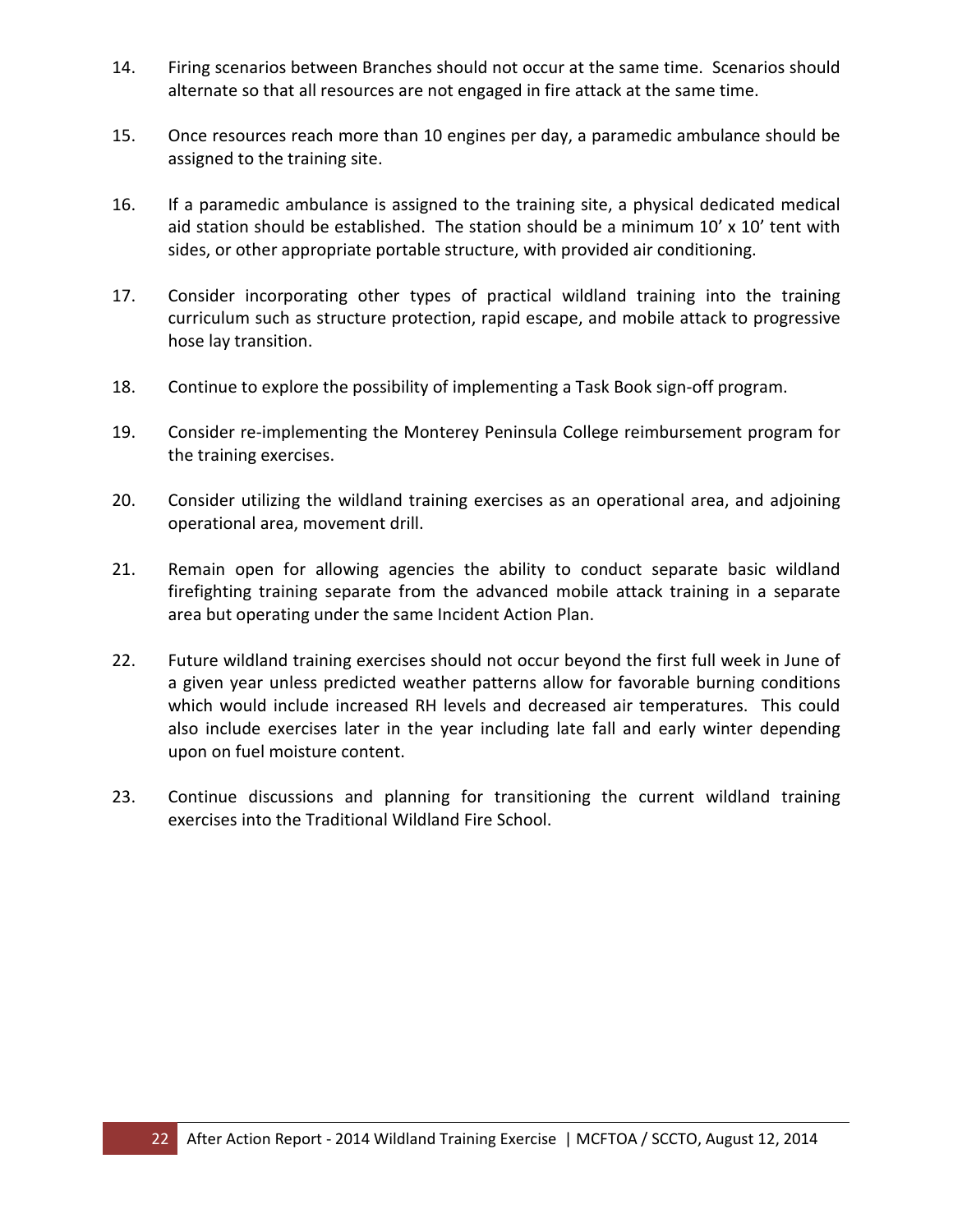- 14. Firing scenarios between Branches should not occur at the same time. Scenarios should alternate so that all resources are not engaged in fire attack at the same time.
- 15. Once resources reach more than 10 engines per day, a paramedic ambulance should be assigned to the training site.
- 16. If a paramedic ambulance is assigned to the training site, a physical dedicated medical aid station should be established. The station should be a minimum  $10'$  x  $10'$  tent with sides, or other appropriate portable structure, with provided air conditioning.
- 17. Consider incorporating other types of practical wildland training into the training curriculum such as structure protection, rapid escape, and mobile attack to progressive hose lay transition.
- 18. Continue to explore the possibility of implementing a Task Book sign-off program.
- 19. Consider re-implementing the Monterey Peninsula College reimbursement program for the training exercises.
- 20. Consider utilizing the wildland training exercises as an operational area, and adjoining operational area, movement drill.
- 21. Remain open for allowing agencies the ability to conduct separate basic wildland firefighting training separate from the advanced mobile attack training in a separate area but operating under the same Incident Action Plan.
- 22. Future wildland training exercises should not occur beyond the first full week in June of a given year unless predicted weather patterns allow for favorable burning conditions which would include increased RH levels and decreased air temperatures. This could also include exercises later in the year including late fall and early winter depending upon on fuel moisture content.
- 23. Continue discussions and planning for transitioning the current wildland training exercises into the Traditional Wildland Fire School.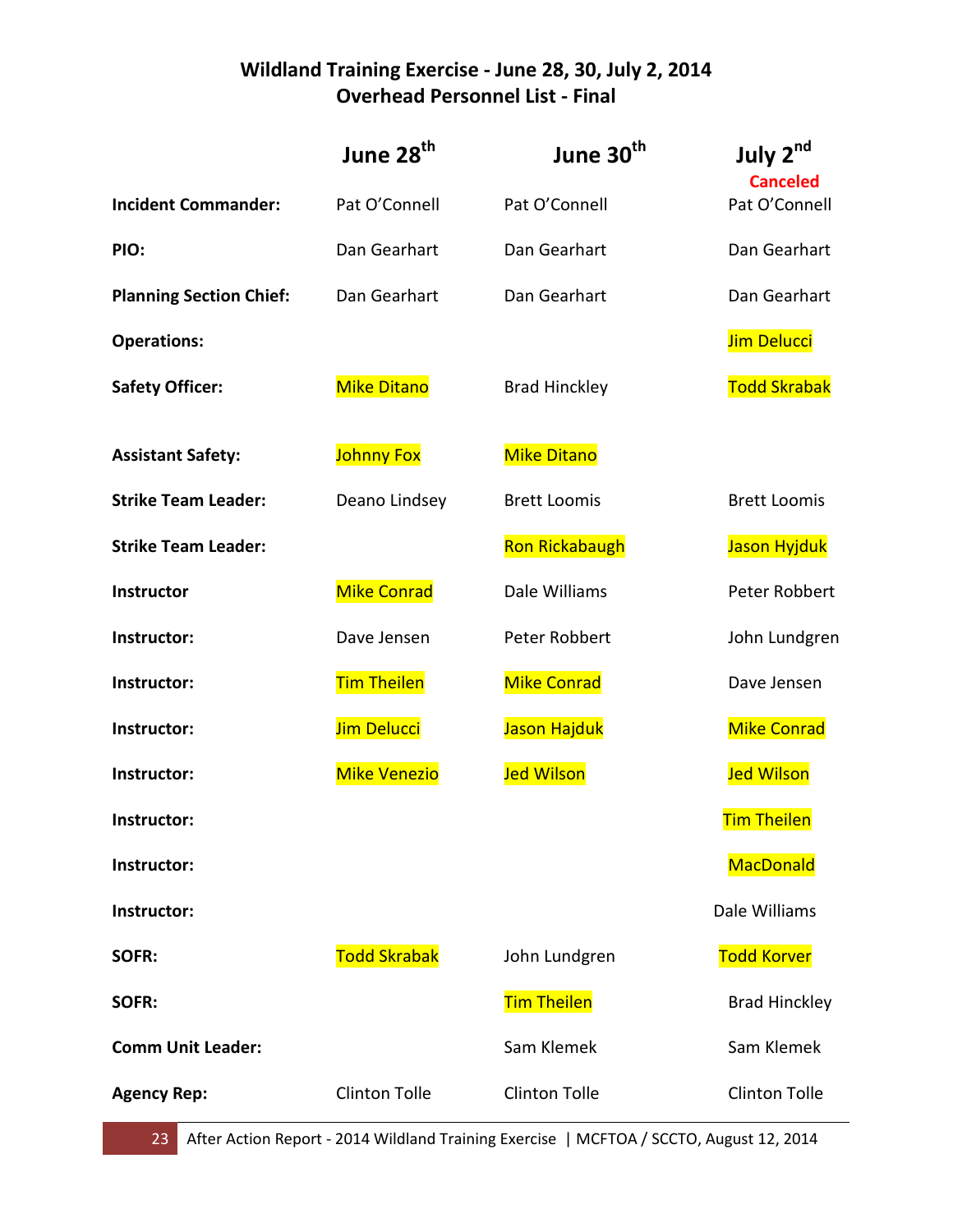## **Wildland Training Exercise - June 28, 30, July 2, 2014 Overhead Personnel List - Final**

|                                | June 28 <sup>th</sup> | June 30 <sup>th</sup> | July 2nd<br><b>Canceled</b> |
|--------------------------------|-----------------------|-----------------------|-----------------------------|
| <b>Incident Commander:</b>     | Pat O'Connell         | Pat O'Connell         | Pat O'Connell               |
| PIO:                           | Dan Gearhart          | Dan Gearhart          | Dan Gearhart                |
| <b>Planning Section Chief:</b> | Dan Gearhart          | Dan Gearhart          | Dan Gearhart                |
| <b>Operations:</b>             |                       |                       | Jim Delucci                 |
| <b>Safety Officer:</b>         | <b>Mike Ditano</b>    | <b>Brad Hinckley</b>  | <b>Todd Skrabak</b>         |
| <b>Assistant Safety:</b>       | <b>Johnny Fox</b>     | <b>Mike Ditano</b>    |                             |
| <b>Strike Team Leader:</b>     | Deano Lindsey         | <b>Brett Loomis</b>   | <b>Brett Loomis</b>         |
| <b>Strike Team Leader:</b>     |                       | <b>Ron Rickabaugh</b> | Jason Hyjduk                |
| Instructor                     | <b>Mike Conrad</b>    | Dale Williams         | Peter Robbert               |
| Instructor:                    | Dave Jensen           | Peter Robbert         | John Lundgren               |
| Instructor:                    | <b>Tim Theilen</b>    | <b>Mike Conrad</b>    | Dave Jensen                 |
| Instructor:                    | Jim Delucci           | Jason Hajduk          | <b>Mike Conrad</b>          |
| Instructor:                    | <b>Mike Venezio</b>   | <b>Jed Wilson</b>     | <b>Jed Wilson</b>           |
| Instructor:                    |                       |                       | <b>Tim Theilen</b>          |
| Instructor:                    |                       |                       | MacDonald                   |
| Instructor:                    |                       |                       | Dale Williams               |
| SOFR:                          | <b>Todd Skrabak</b>   | John Lundgren         | <b>Todd Korver</b>          |
| SOFR:                          |                       | <b>Tim Theilen</b>    | <b>Brad Hinckley</b>        |
| <b>Comm Unit Leader:</b>       |                       | Sam Klemek            | Sam Klemek                  |
| <b>Agency Rep:</b>             | <b>Clinton Tolle</b>  | <b>Clinton Tolle</b>  | <b>Clinton Tolle</b>        |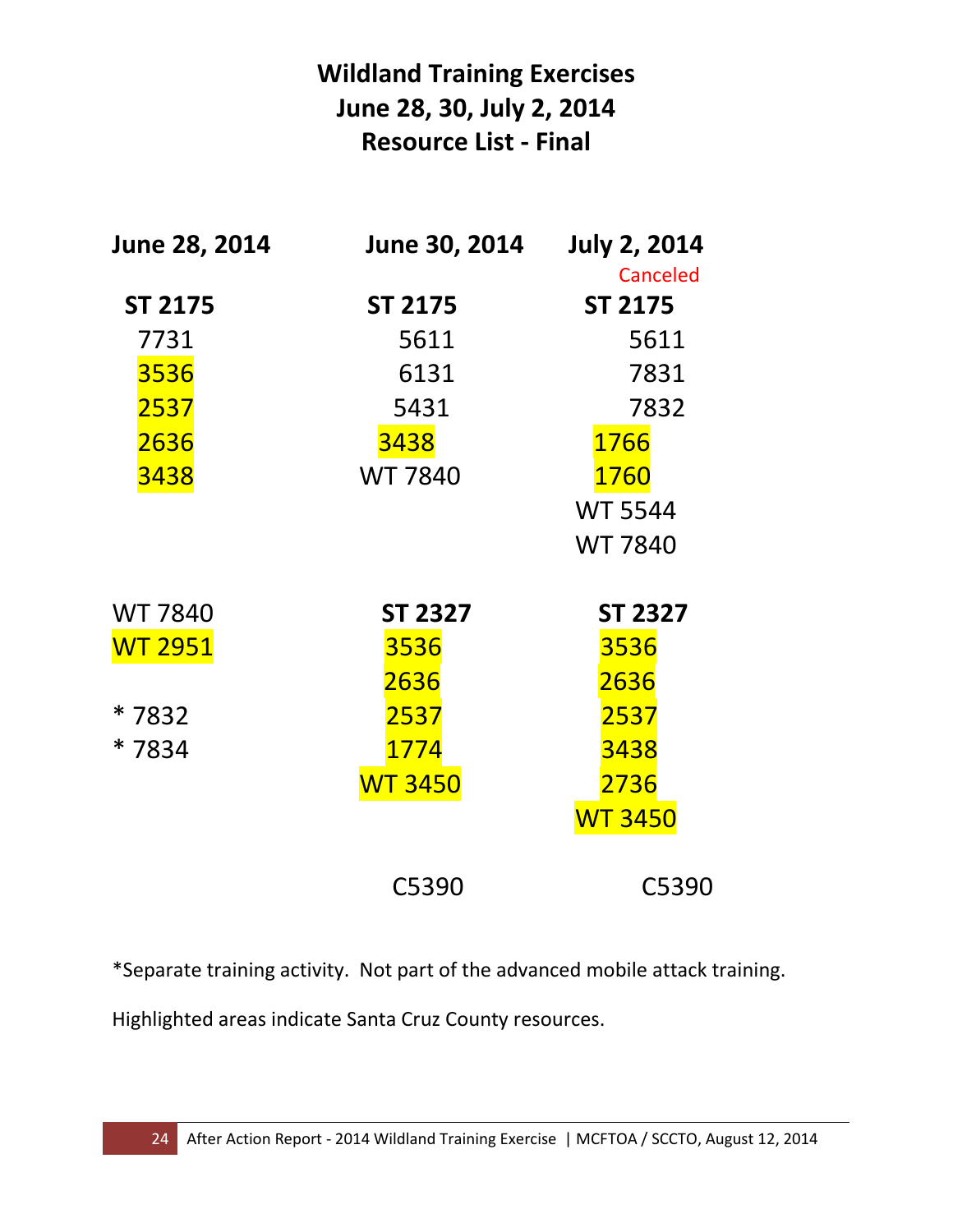# **Wildland Training Exercises June 28, 30, July 2, 2014 Resource List - Final**

| June 28, 2014  | June 30, 2014  | <b>July 2, 2014</b> |
|----------------|----------------|---------------------|
|                |                | <b>Canceled</b>     |
| <b>ST 2175</b> | <b>ST 2175</b> | <b>ST 2175</b>      |
| 7731           | 5611           | 5611                |
| 3536           | 6131           | 7831                |
| 2537           | 5431           | 7832                |
| 2636           | 3438           | 1766                |
| 3438           | <b>WT 7840</b> | 1760                |
|                |                | <b>WT 5544</b>      |
|                |                | <b>WT 7840</b>      |
| <b>WT 7840</b> | <b>ST 2327</b> | <b>ST 2327</b>      |
| <b>WT 2951</b> | 3536           | 3536                |
|                | 2636           | 2636                |
| * 7832         | 2537           | 2537                |
| * 7834         | 1774           | 3438                |
|                | <b>WT 3450</b> | 2736                |
|                |                | <b>WT 3450</b>      |
|                | C5390          | C5390               |

\*Separate training activity. Not part of the advanced mobile attack training.

Highlighted areas indicate Santa Cruz County resources.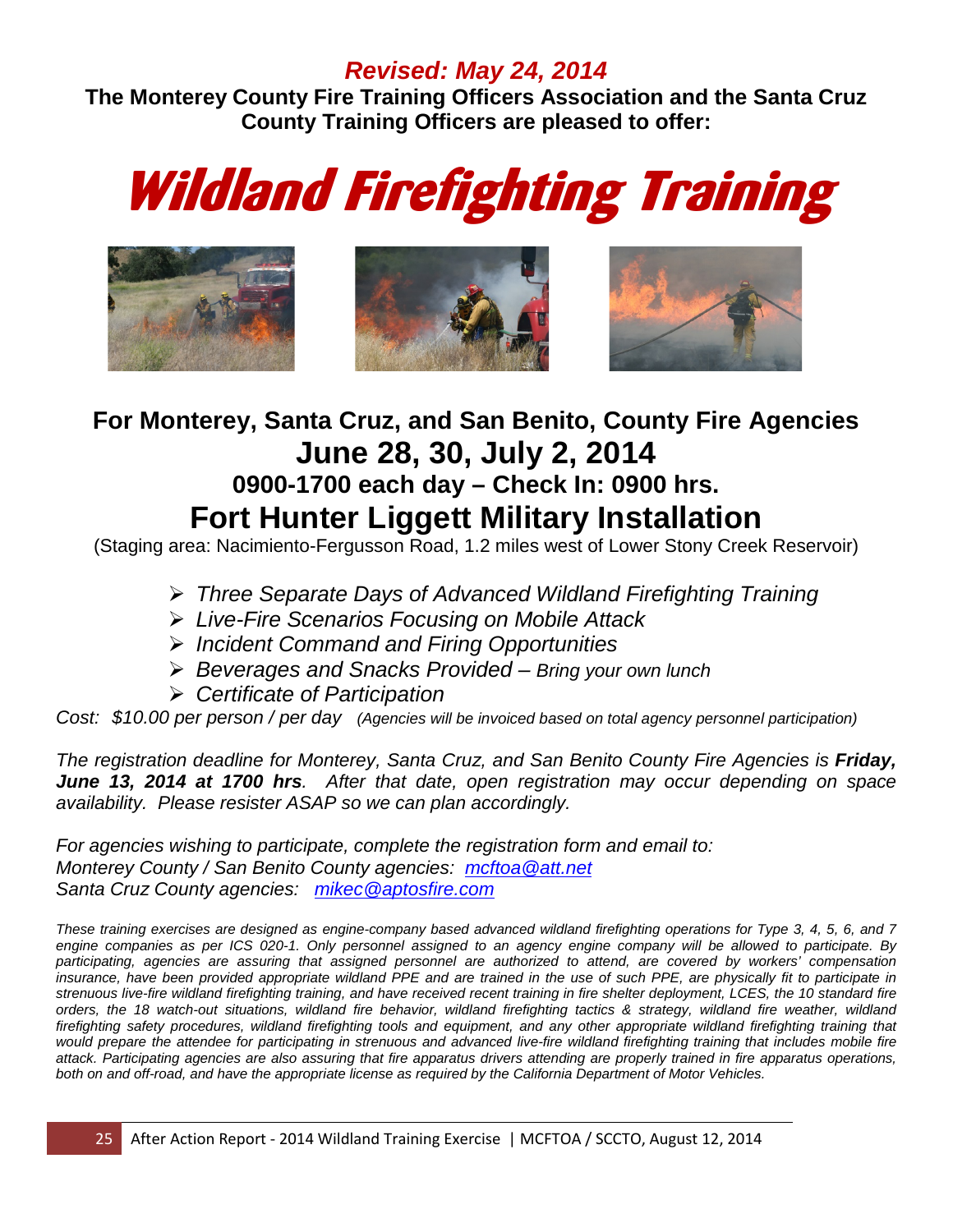## *Revised: May 24, 2014*

**The Monterey County Fire Training Officers Association and the Santa Cruz County Training Officers are pleased to offer:**

# Wildland Firefighting Training



# **For Monterey, Santa Cruz, and San Benito, County Fire Agencies June 28, 30, July 2, 2014 0900-1700 each day – Check In: 0900 hrs. Fort Hunter Liggett Military Installation**

(Staging area: Nacimiento-Fergusson Road, 1.2 miles west of Lower Stony Creek Reservoir)

- *Three Separate Days of Advanced Wildland Firefighting Training*
- *Live-Fire Scenarios Focusing on Mobile Attack*
- *Incident Command and Firing Opportunities*
- *Beverages and Snacks Provided – Bring your own lunch*
- *Certificate of Participation*

*Cost: \$10.00 per person / per day (Agencies will be invoiced based on total agency personnel participation)*

*The registration deadline for Monterey, Santa Cruz, and San Benito County Fire Agencies is Friday, June 13, 2014 at 1700 hrs. After that date, open registration may occur depending on space availability. Please resister ASAP so we can plan accordingly.* 

*For agencies wishing to participate, complete the registration form and email to: Monterey County / San Benito County agencies: [mcftoa@att.net](mailto:mcftoa@att.net) Santa Cruz County agencies: [mikec@aptosfire.com](mailto:mikec@aptosfire.com)*

*These training exercises are designed as engine-company based advanced wildland firefighting operations for Type 3, 4, 5, 6, and 7 engine companies as per ICS 020-1. Only personnel assigned to an agency engine company will be allowed to participate. By participating, agencies are assuring that assigned personnel are authorized to attend, are covered by workers' compensation*  insurance, have been provided appropriate wildland PPE and are trained in the use of such PPE, are physically fit to participate in *strenuous live-fire wildland firefighting training, and have received recent training in fire shelter deployment, LCES, the 10 standard fire* orders, the 18 watch-out situations, wildland fire behavior, wildland firefighting tactics & strategy, wildland fire weather, wildland firefighting safety procedures, wildland firefighting tools and equipment, and any other appropriate wildland firefighting training that would prepare the attendee for participating in strenuous and advanced live-fire wildland firefighting training that includes mobile fire *attack. Participating agencies are also assuring that fire apparatus drivers attending are properly trained in fire apparatus operations, both on and off-road, and have the appropriate license as required by the California Department of Motor Vehicles.*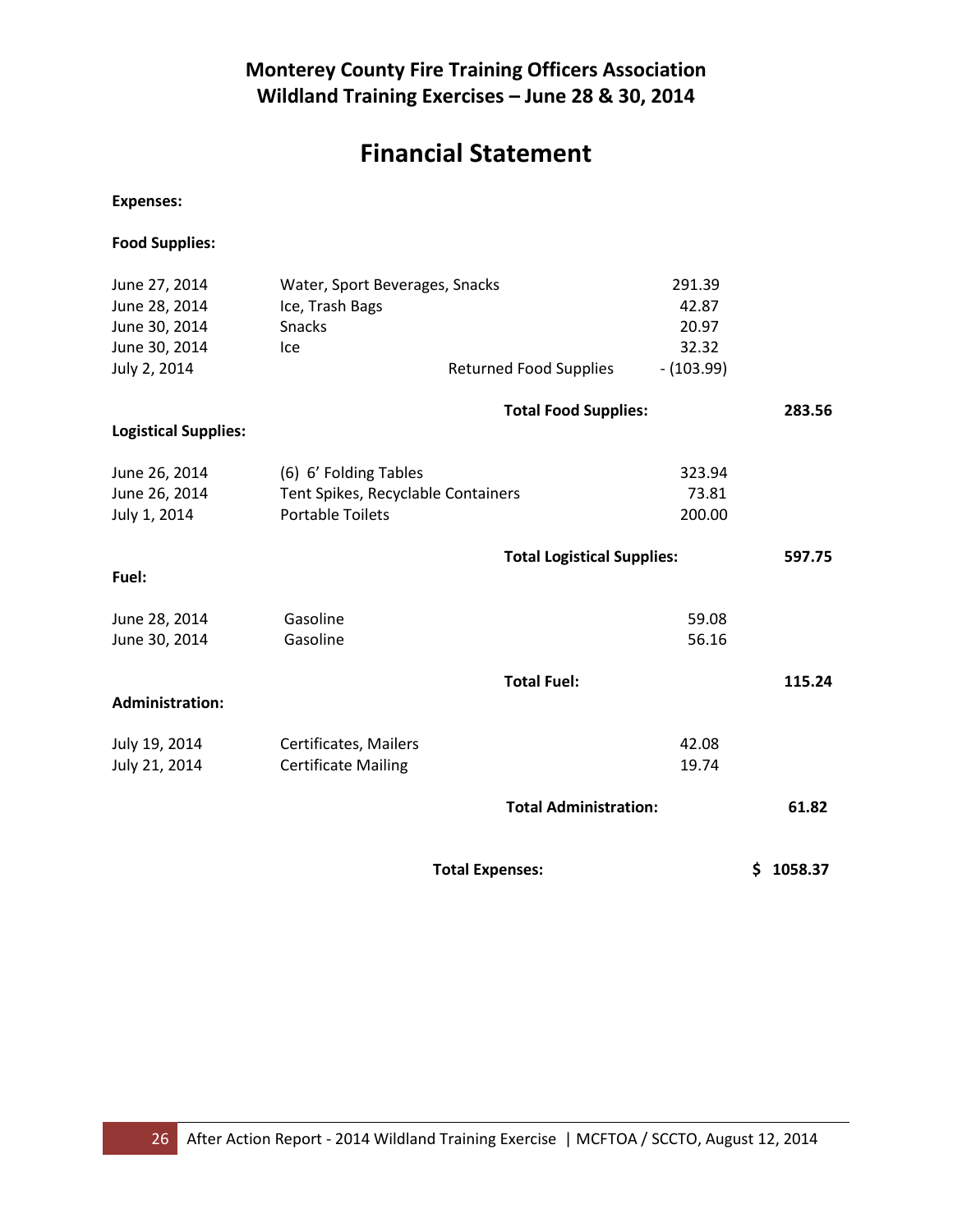# **Financial Statement**

**Expenses:**

**Food Supplies:**

| June 27, 2014               | Water, Sport Beverages, Snacks     |                                   | 291.39      |        |
|-----------------------------|------------------------------------|-----------------------------------|-------------|--------|
| June 28, 2014               | Ice, Trash Bags                    |                                   | 42.87       |        |
| June 30, 2014               | Snacks                             |                                   | 20.97       |        |
| June 30, 2014               | Ice                                |                                   | 32.32       |        |
| July 2, 2014                |                                    | <b>Returned Food Supplies</b>     | $-(103.99)$ |        |
|                             |                                    | <b>Total Food Supplies:</b>       |             | 283.56 |
| <b>Logistical Supplies:</b> |                                    |                                   |             |        |
| June 26, 2014               | (6) 6' Folding Tables              |                                   | 323.94      |        |
| June 26, 2014               | Tent Spikes, Recyclable Containers |                                   | 73.81       |        |
| July 1, 2014                | <b>Portable Toilets</b>            |                                   | 200.00      |        |
|                             |                                    | <b>Total Logistical Supplies:</b> |             | 597.75 |
| Fuel:                       |                                    |                                   |             |        |
| June 28, 2014               | Gasoline                           |                                   | 59.08       |        |
| June 30, 2014               | Gasoline                           |                                   | 56.16       |        |
|                             |                                    | <b>Total Fuel:</b>                |             | 115.24 |
| <b>Administration:</b>      |                                    |                                   |             |        |
| July 19, 2014               | Certificates, Mailers              |                                   | 42.08       |        |
| July 21, 2014               | <b>Certificate Mailing</b>         |                                   | 19.74       |        |
|                             |                                    | <b>Total Administration:</b>      |             | 61.82  |
|                             |                                    |                                   |             |        |

 **Total Expenses: \$ 1058.37**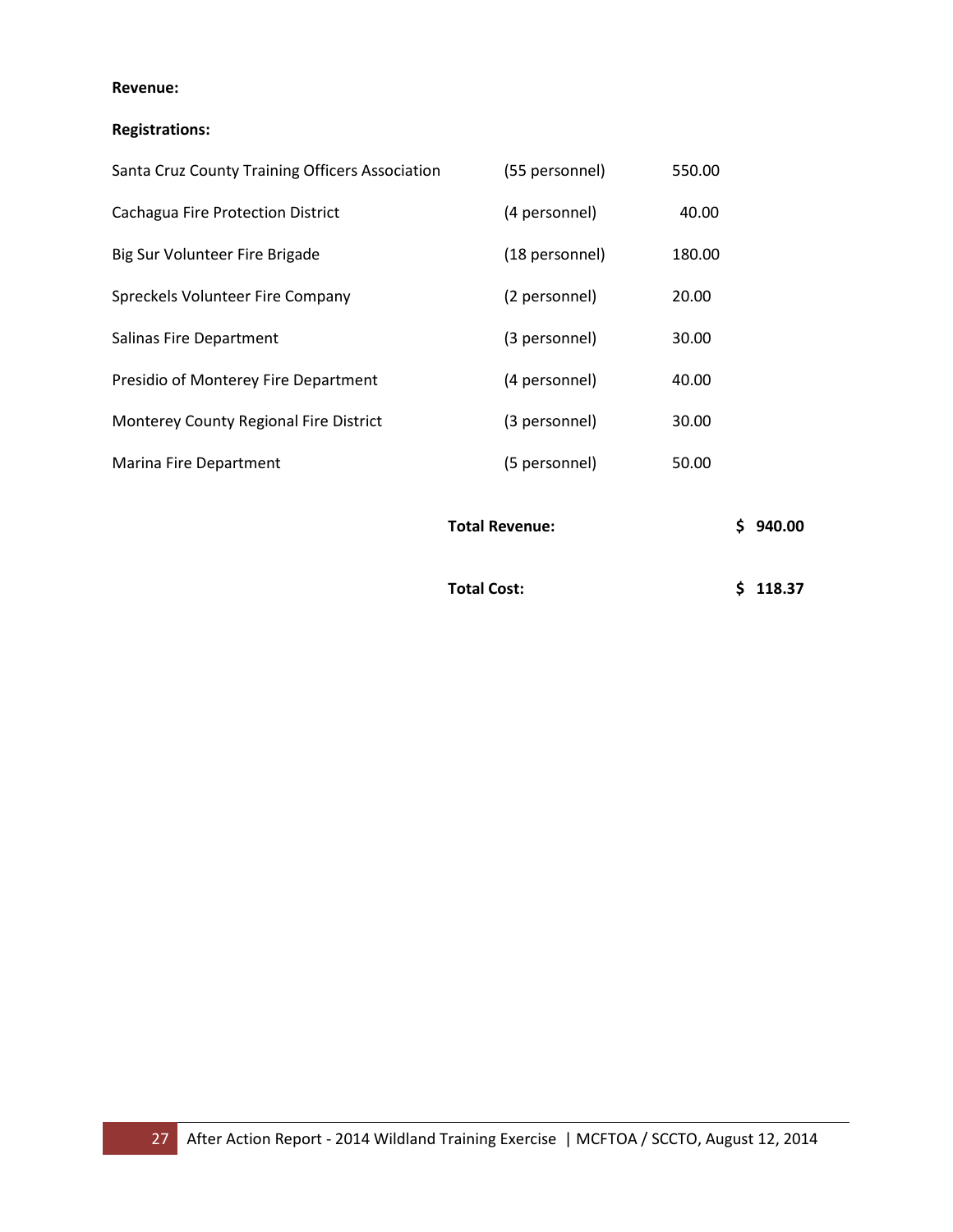#### **Revenue:**

#### **Registrations:**

|                                                 | <b>Total Revenue:</b> | S.<br>940.00 |  |
|-------------------------------------------------|-----------------------|--------------|--|
| Marina Fire Department                          | (5 personnel)         | 50.00        |  |
| Monterey County Regional Fire District          | (3 personnel)         | 30.00        |  |
| Presidio of Monterey Fire Department            | (4 personnel)         | 40.00        |  |
| Salinas Fire Department                         | (3 personnel)         | 30.00        |  |
| Spreckels Volunteer Fire Company                | (2 personnel)         | 20.00        |  |
| Big Sur Volunteer Fire Brigade                  | (18 personnel)        | 180.00       |  |
| Cachagua Fire Protection District               | (4 personnel)         | 40.00        |  |
| Santa Cruz County Training Officers Association | (55 personnel)        | 550.00       |  |

**Total Cost: \$ 118.37**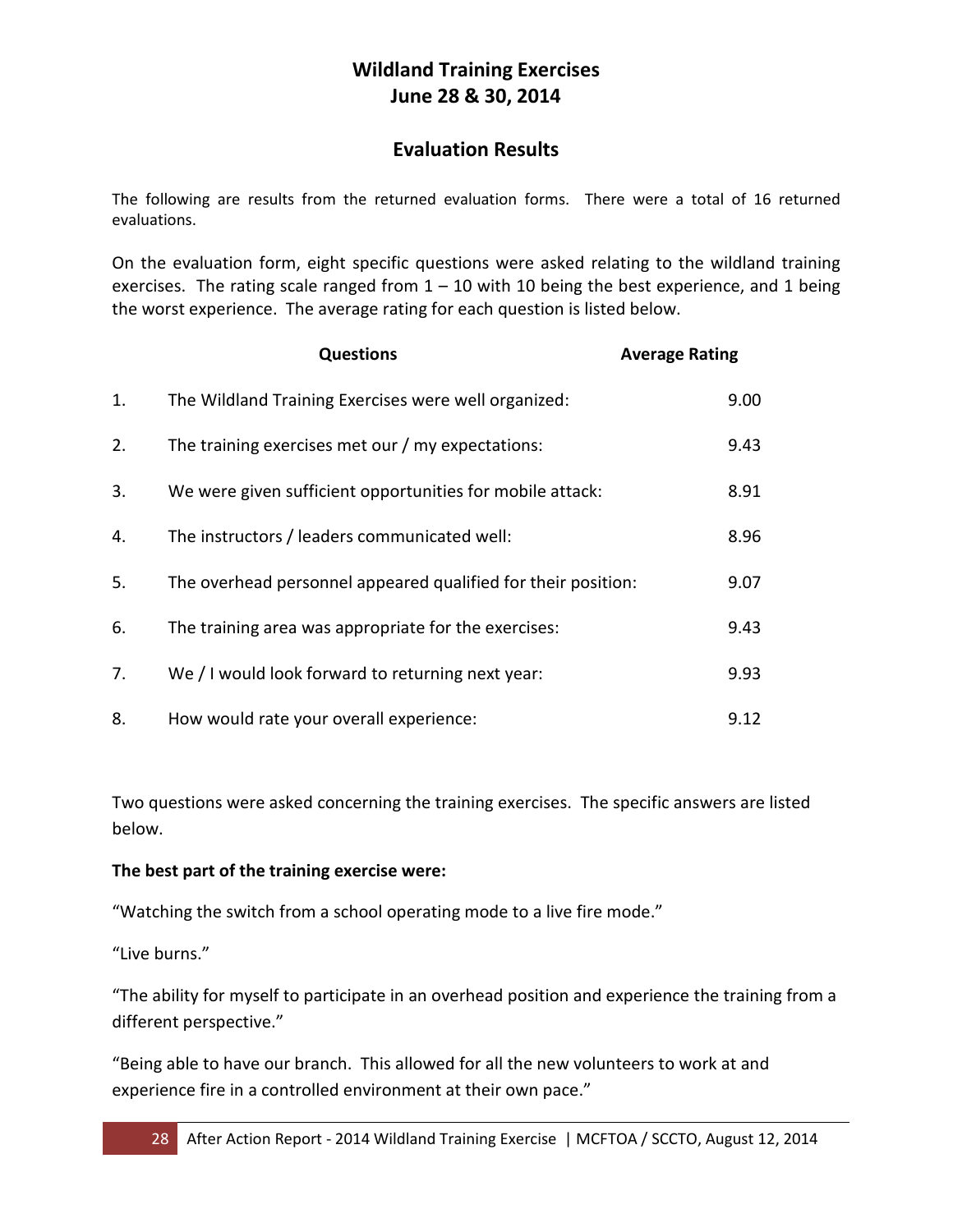## **Wildland Training Exercises June 28 & 30, 2014**

## **Evaluation Results**

The following are results from the returned evaluation forms. There were a total of 16 returned evaluations.

On the evaluation form, eight specific questions were asked relating to the wildland training exercises. The rating scale ranged from  $1 - 10$  with 10 being the best experience, and 1 being the worst experience. The average rating for each question is listed below.

|    | <b>Questions</b>                                              | <b>Average Rating</b> |
|----|---------------------------------------------------------------|-----------------------|
| 1. | The Wildland Training Exercises were well organized:          | 9.00                  |
| 2. | The training exercises met our / my expectations:             | 9.43                  |
| 3. | We were given sufficient opportunities for mobile attack:     | 8.91                  |
| 4. | The instructors / leaders communicated well:                  | 8.96                  |
| 5. | The overhead personnel appeared qualified for their position: | 9.07                  |
| 6. | The training area was appropriate for the exercises:          | 9.43                  |
| 7. | We / I would look forward to returning next year:             | 9.93                  |
| 8. | How would rate your overall experience:                       | 9.12                  |

Two questions were asked concerning the training exercises. The specific answers are listed below.

#### **The best part of the training exercise were:**

"Watching the switch from a school operating mode to a live fire mode."

"Live burns."

"The ability for myself to participate in an overhead position and experience the training from a different perspective."

"Being able to have our branch. This allowed for all the new volunteers to work at and experience fire in a controlled environment at their own pace."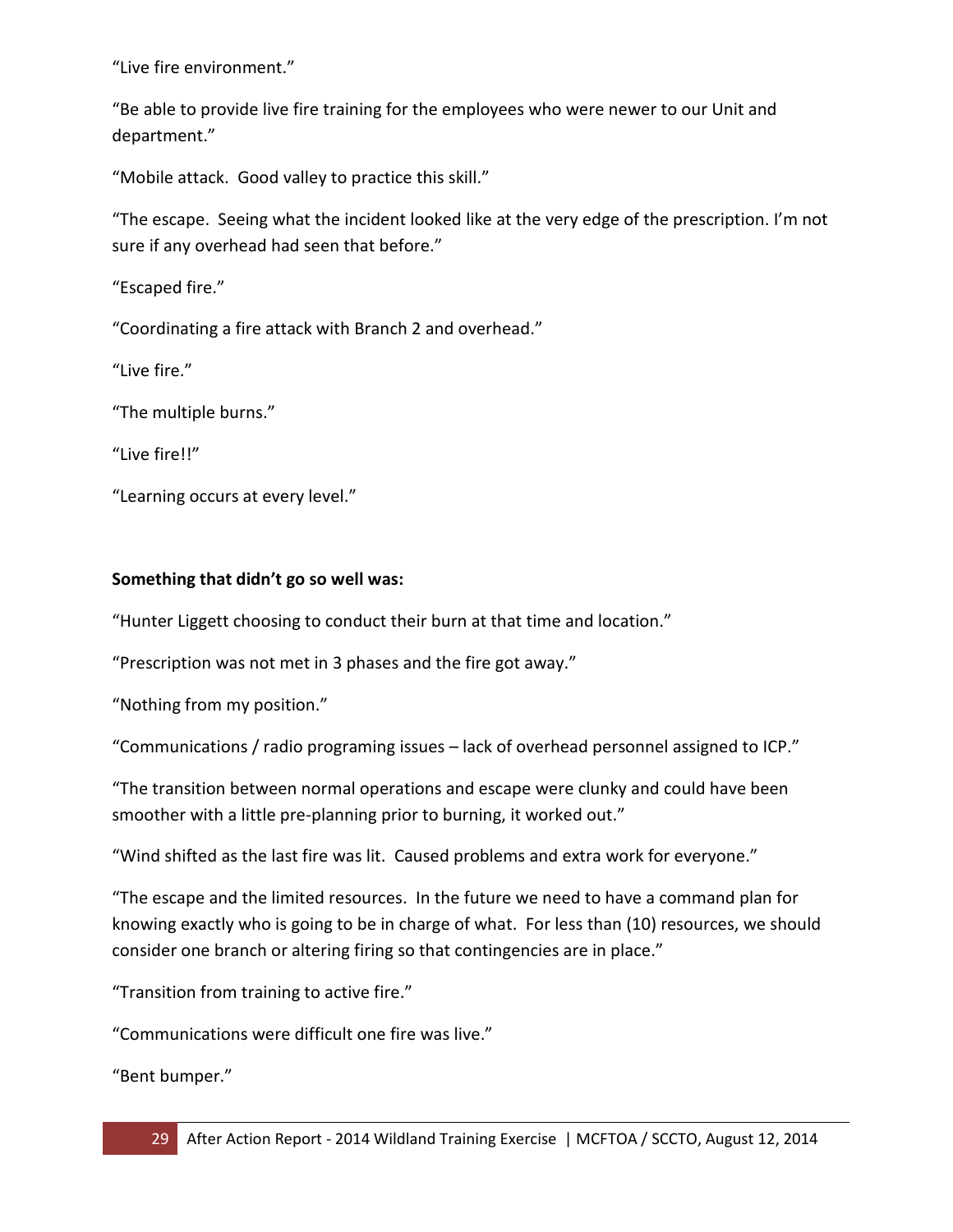"Live fire environment."

"Be able to provide live fire training for the employees who were newer to our Unit and department."

"Mobile attack. Good valley to practice this skill."

"The escape. Seeing what the incident looked like at the very edge of the prescription. I'm not sure if any overhead had seen that before."

"Escaped fire."

"Coordinating a fire attack with Branch 2 and overhead."

"Live fire."

"The multiple burns."

"Live fire!!"

"Learning occurs at every level."

#### **Something that didn't go so well was:**

"Hunter Liggett choosing to conduct their burn at that time and location."

"Prescription was not met in 3 phases and the fire got away."

"Nothing from my position."

"Communications / radio programing issues – lack of overhead personnel assigned to ICP."

"The transition between normal operations and escape were clunky and could have been smoother with a little pre-planning prior to burning, it worked out."

"Wind shifted as the last fire was lit. Caused problems and extra work for everyone."

"The escape and the limited resources. In the future we need to have a command plan for knowing exactly who is going to be in charge of what. For less than (10) resources, we should consider one branch or altering firing so that contingencies are in place."

"Transition from training to active fire."

"Communications were difficult one fire was live."

"Bent bumper."